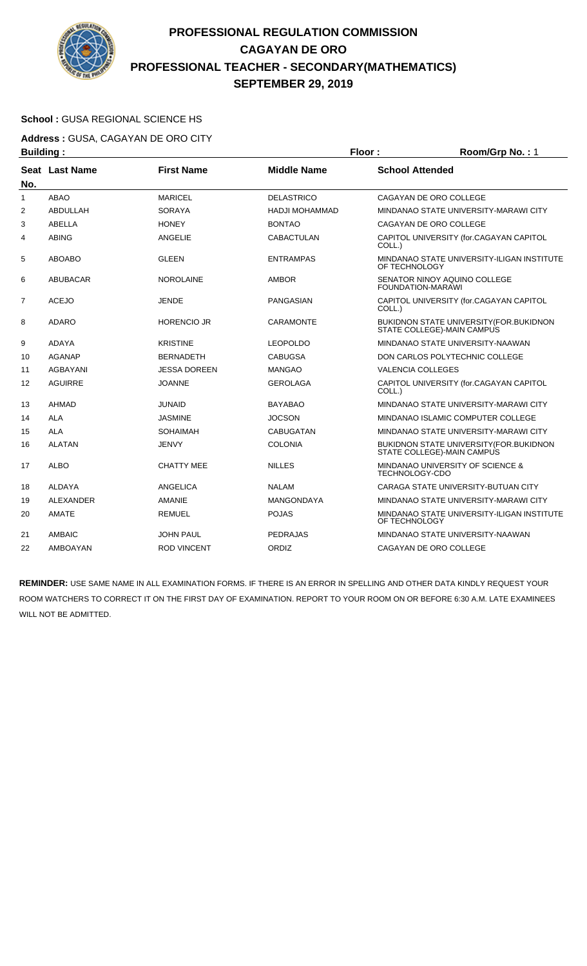

### **School :** GUSA REGIONAL SCIENCE HS

**Address :** GUSA, CAGAYAN DE ORO CITY

| <b>Building:</b> |                |                    |                    | Floor:                   | Room/Grp No.: 1                                                        |
|------------------|----------------|--------------------|--------------------|--------------------------|------------------------------------------------------------------------|
| No.              | Seat Last Name | <b>First Name</b>  | <b>Middle Name</b> | <b>School Attended</b>   |                                                                        |
| 1                | <b>ABAO</b>    | <b>MARICEL</b>     | <b>DELASTRICO</b>  | CAGAYAN DE ORO COLLEGE   |                                                                        |
| $\overline{2}$   | ABDULLAH       | <b>SORAYA</b>      | HADJI MOHAMMAD     |                          | MINDANAO STATE UNIVERSITY-MARAWI CITY                                  |
| 3                | <b>ABELLA</b>  | <b>HONEY</b>       | <b>BONTAO</b>      | CAGAYAN DE ORO COLLEGE   |                                                                        |
| 4                | <b>ABING</b>   | ANGELIE            | <b>CABACTULAN</b>  | COLL.)                   | CAPITOL UNIVERSITY (for.CAGAYAN CAPITOL                                |
| 5                | <b>ABOABO</b>  | <b>GLEEN</b>       | <b>ENTRAMPAS</b>   | OF TECHNOLOGY            | MINDANAO STATE UNIVERSITY-ILIGAN INSTITUTE                             |
| 6                | ABUBACAR       | <b>NOROLAINE</b>   | <b>AMBOR</b>       | FOUNDATION-MARAWI        | SENATOR NINOY AQUINO COLLEGE                                           |
| 7                | <b>ACEJO</b>   | JENDE              | PANGASIAN          | COLL.)                   | CAPITOL UNIVERSITY (for.CAGAYAN CAPITOL                                |
| 8                | <b>ADARO</b>   | <b>HORENCIO JR</b> | <b>CARAMONTE</b>   |                          | BUKIDNON STATE UNIVERSITY (FOR. BUKIDNON<br>STATE COLLEGE)-MAIN CAMPUS |
| 9                | ADAYA          | <b>KRISTINE</b>    | LEOPOLDO           |                          | MINDANAO STATE UNIVERSITY-NAAWAN                                       |
| 10               | <b>AGANAP</b>  | <b>BERNADETH</b>   | CABUGSA            |                          | DON CARLOS POLYTECHNIC COLLEGE                                         |
| 11               | AGBAYANI       | JESSA DOREEN       | <b>MANGAO</b>      | <b>VALENCIA COLLEGES</b> |                                                                        |
| 12               | <b>AGUIRRE</b> | <b>JOANNE</b>      | <b>GEROLAGA</b>    | COLL.)                   | CAPITOL UNIVERSITY (for.CAGAYAN CAPITOL                                |
| 13               | <b>AHMAD</b>   | <b>JUNAID</b>      | <b>BAYABAO</b>     |                          | MINDANAO STATE UNIVERSITY-MARAWI CITY                                  |
| 14               | <b>ALA</b>     | <b>JASMINE</b>     | <b>JOCSON</b>      |                          | MINDANAO ISLAMIC COMPUTER COLLEGE                                      |
| 15               | <b>ALA</b>     | <b>SOHAIMAH</b>    | <b>CABUGATAN</b>   |                          | MINDANAO STATE UNIVERSITY-MARAWI CITY                                  |
| 16               | <b>ALATAN</b>  | <b>JENVY</b>       | <b>COLONIA</b>     |                          | BUKIDNON STATE UNIVERSITY (FOR. BUKIDNON<br>STATE COLLEGE)-MAIN CAMPUS |
| 17               | <b>ALBO</b>    | <b>CHATTY MEE</b>  | <b>NILLES</b>      | TECHNOLOGY-CDO           | MINDANAO UNIVERSITY OF SCIENCE &                                       |
| 18               | ALDAYA         | ANGELICA           | <b>NALAM</b>       |                          | CARAGA STATE UNIVERSITY-BUTUAN CITY                                    |
| 19               | ALEXANDER      | <b>AMANIE</b>      | <b>MANGONDAYA</b>  |                          | MINDANAO STATE UNIVERSITY-MARAWI CITY                                  |
| 20               | AMATE          | <b>REMUEL</b>      | <b>POJAS</b>       | OF TECHNOLOGY            | MINDANAO STATE UNIVERSITY-ILIGAN INSTITUTE                             |
| 21               | AMBAIC         | JOHN PAUL          | <b>PEDRAJAS</b>    |                          | MINDANAO STATE UNIVERSITY-NAAWAN                                       |
| 22               | AMBOAYAN       | <b>ROD VINCENT</b> | ORDIZ              | CAGAYAN DE ORO COLLEGE   |                                                                        |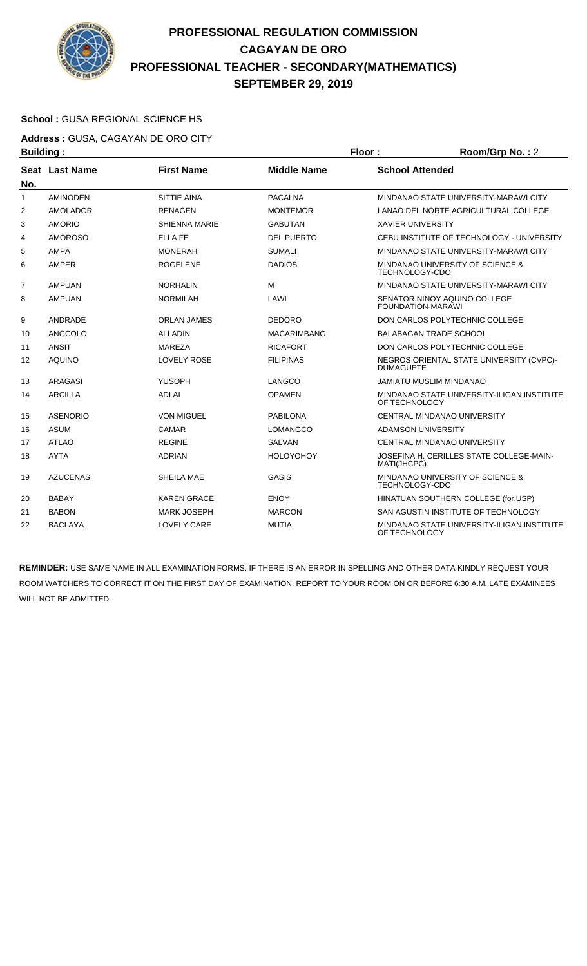

### **School :** GUSA REGIONAL SCIENCE HS

**Address :** GUSA, CAGAYAN DE ORO CITY **Building : Floor : Room/Grp No. :** 2

| sananig .      |                 |                      |                    |                                                              |
|----------------|-----------------|----------------------|--------------------|--------------------------------------------------------------|
| No.            | Seat Last Name  | <b>First Name</b>    | <b>Middle Name</b> | <b>School Attended</b>                                       |
| 1              | <b>AMINODEN</b> | <b>SITTIE AINA</b>   | <b>PACALNA</b>     | MINDANAO STATE UNIVERSITY-MARAWI CITY                        |
| $\overline{2}$ | <b>AMOLADOR</b> | <b>RENAGEN</b>       | <b>MONTEMOR</b>    | LANAO DEL NORTE AGRICULTURAL COLLEGE                         |
| 3              | <b>AMORIO</b>   | <b>SHIENNA MARIE</b> | <b>GABUTAN</b>     | <b>XAVIER UNIVERSITY</b>                                     |
| 4              | <b>AMOROSO</b>  | <b>ELLA FE</b>       | <b>DEL PUERTO</b>  | CEBU INSTITUTE OF TECHNOLOGY - UNIVERSITY                    |
| 5              | <b>AMPA</b>     | <b>MONERAH</b>       | <b>SUMALI</b>      | MINDANAO STATE UNIVERSITY-MARAWI CITY                        |
| 6              | AMPER           | <b>ROGELENE</b>      | <b>DADIOS</b>      | MINDANAO UNIVERSITY OF SCIENCE &<br><b>TECHNOLOGY-CDO</b>    |
| 7              | <b>AMPUAN</b>   | <b>NORHALIN</b>      | M                  | MINDANAO STATE UNIVERSITY-MARAWI CITY                        |
| 8              | <b>AMPUAN</b>   | <b>NORMILAH</b>      | LAWI               | SENATOR NINOY AQUINO COLLEGE<br>FOUNDATION-MARAWI            |
| 9              | ANDRADE         | <b>ORLAN JAMES</b>   | <b>DEDORO</b>      | DON CARLOS POLYTECHNIC COLLEGE                               |
| 10             | ANGCOLO         | <b>ALLADIN</b>       | <b>MACARIMBANG</b> | <b>BALABAGAN TRADE SCHOOL</b>                                |
| 11             | ANSIT           | MAREZA               | <b>RICAFORT</b>    | DON CARLOS POLYTECHNIC COLLEGE                               |
| 12             | <b>AQUINO</b>   | <b>LOVELY ROSE</b>   | <b>FILIPINAS</b>   | NEGROS ORIENTAL STATE UNIVERSITY (CVPC)-<br><b>DUMAGUETE</b> |
| 13             | <b>ARAGASI</b>  | <b>YUSOPH</b>        | LANGCO             | <b>JAMIATU MUSLIM MINDANAO</b>                               |
| 14             | <b>ARCILLA</b>  | <b>ADLAI</b>         | <b>OPAMEN</b>      | MINDANAO STATE UNIVERSITY-ILIGAN INSTITUTE<br>OF TECHNOLOGY  |
| 15             | <b>ASENORIO</b> | <b>VON MIGUEL</b>    | <b>PABILONA</b>    | CENTRAL MINDANAO UNIVERSITY                                  |
| 16             | <b>ASUM</b>     | CAMAR                | <b>LOMANGCO</b>    | ADAMSON UNIVERSITY                                           |
| 17             | <b>ATLAO</b>    | <b>REGINE</b>        | <b>SALVAN</b>      | CENTRAL MINDANAO UNIVERSITY                                  |
| 18             | <b>AYTA</b>     | <b>ADRIAN</b>        | <b>HOLOYOHOY</b>   | JOSEFINA H. CERILLES STATE COLLEGE-MAIN-<br>MATI(JHCPC)      |
| 19             | <b>AZUCENAS</b> | <b>SHEILA MAE</b>    | <b>GASIS</b>       | MINDANAO UNIVERSITY OF SCIENCE &<br><b>TECHNOLOGY-CDO</b>    |
| 20             | <b>BABAY</b>    | KAREN GRACE          | <b>ENOY</b>        | HINATUAN SOUTHERN COLLEGE (for.USP)                          |
| 21             | <b>BABON</b>    | <b>MARK JOSEPH</b>   | <b>MARCON</b>      | SAN AGUSTIN INSTITUTE OF TECHNOLOGY                          |
| 22             | <b>BACLAYA</b>  | <b>LOVELY CARE</b>   | <b>MUTIA</b>       | MINDANAO STATE UNIVERSITY-ILIGAN INSTITUTE<br>OF TECHNOLOGY  |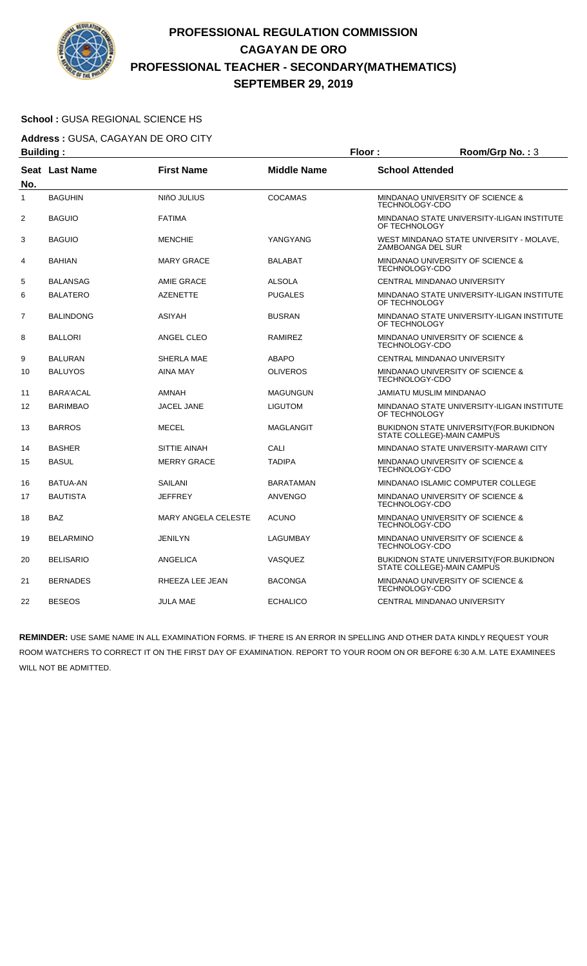

#### **School :** GUSA REGIONAL SCIENCE HS

**Address :** GUSA, CAGAYAN DE ORO CITY **Building : Floor : Room/Grp No. :** 3

|                | bununiyi.             |                            | . וטטו             | ס באו קוסווויטטו                                                       |
|----------------|-----------------------|----------------------------|--------------------|------------------------------------------------------------------------|
| No.            | <b>Seat Last Name</b> | <b>First Name</b>          | <b>Middle Name</b> | <b>School Attended</b>                                                 |
| $\mathbf{1}$   | <b>BAGUHIN</b>        | NIñO JULIUS                | <b>COCAMAS</b>     | MINDANAO UNIVERSITY OF SCIENCE &<br>TECHNOLOGY-CDO                     |
| 2              | <b>BAGUIO</b>         | <b>FATIMA</b>              |                    | MINDANAO STATE UNIVERSITY-ILIGAN INSTITUTE<br>OF TECHNOLOGY            |
| 3              | <b>BAGUIO</b>         | <b>MENCHIE</b>             | YANGYANG           | WEST MINDANAO STATE UNIVERSITY - MOLAVE,<br>ZAMBOANGA DEL SUR          |
| 4              | <b>BAHIAN</b>         | <b>MARY GRACE</b>          | <b>BALABAT</b>     | MINDANAO UNIVERSITY OF SCIENCE &<br>TECHNOLOGY-CDO                     |
| 5              | <b>BALANSAG</b>       | AMIE GRACE                 | <b>ALSOLA</b>      | CENTRAL MINDANAO UNIVERSITY                                            |
| 6              | <b>BALATERO</b>       | <b>AZENETTE</b>            | <b>PUGALES</b>     | MINDANAO STATE UNIVERSITY-ILIGAN INSTITUTE<br>OF TECHNOLOGY            |
| $\overline{7}$ | <b>BALINDONG</b>      | ASIYAH                     | <b>BUSRAN</b>      | MINDANAO STATE UNIVERSITY-ILIGAN INSTITUTE<br>OF TECHNOLOGY            |
| 8              | <b>BALLORI</b>        | ANGEL CLEO                 | <b>RAMIREZ</b>     | MINDANAO UNIVERSITY OF SCIENCE &<br>TECHNOLOGY-CDO                     |
| 9              | <b>BALURAN</b>        | SHERLA MAE                 | <b>ABAPO</b>       | CENTRAL MINDANAO UNIVERSITY                                            |
| 10             | <b>BALUYOS</b>        | <b>AINA MAY</b>            | <b>OLIVEROS</b>    | MINDANAO UNIVERSITY OF SCIENCE &<br>TECHNOLOGY-CDO                     |
| 11             | BARA'ACAL             | AMNAH                      | <b>MAGUNGUN</b>    | JAMIATU MUSLIM MINDANAO                                                |
| 12             | <b>BARIMBAO</b>       | JACEL JANE                 | <b>LIGUTOM</b>     | MINDANAO STATE UNIVERSITY-ILIGAN INSTITUTE<br>OF TECHNOLOGY            |
| 13             | <b>BARROS</b>         | <b>MECEL</b>               | <b>MAGLANGIT</b>   | BUKIDNON STATE UNIVERSITY (FOR. BUKIDNON<br>STATE COLLEGE)-MAIN CAMPUS |
| 14             | <b>BASHER</b>         | SITTIE AINAH               | CALI               | MINDANAO STATE UNIVERSITY-MARAWI CITY                                  |
| 15             | <b>BASUL</b>          | <b>MERRY GRACE</b>         | <b>TADIPA</b>      | MINDANAO UNIVERSITY OF SCIENCE &<br><b>TECHNOLOGY-CDO</b>              |
| 16             | BATUA-AN              | <b>SAILANI</b>             | <b>BARATAMAN</b>   | MINDANAO ISLAMIC COMPUTER COLLEGE                                      |
| 17             | <b>BAUTISTA</b>       | <b>JEFFREY</b>             | <b>ANVENGO</b>     | MINDANAO UNIVERSITY OF SCIENCE &<br>TECHNOLOGY-CDO                     |
| 18             | <b>BAZ</b>            | <b>MARY ANGELA CELESTE</b> | <b>ACUNO</b>       | MINDANAO UNIVERSITY OF SCIENCE &<br>TECHNOLOGY-CDO                     |
| 19             | <b>BELARMINO</b>      | JENILYN                    | LAGUMBAY           | MINDANAO UNIVERSITY OF SCIENCE &<br>TECHNOLOGY-CDO                     |
| 20             | <b>BELISARIO</b>      | ANGELICA                   | VASQUEZ            | BUKIDNON STATE UNIVERSITY (FOR. BUKIDNON<br>STATE COLLEGE)-MAIN CAMPUS |
| 21             | <b>BERNADES</b>       | RHEEZA LEE JEAN            | <b>BACONGA</b>     | MINDANAO UNIVERSITY OF SCIENCE &<br><b>TECHNOLOGY-CDO</b>              |
| 22             | <b>BESEOS</b>         | <b>JULA MAE</b>            | <b>ECHALICO</b>    | CENTRAL MINDANAO UNIVERSITY                                            |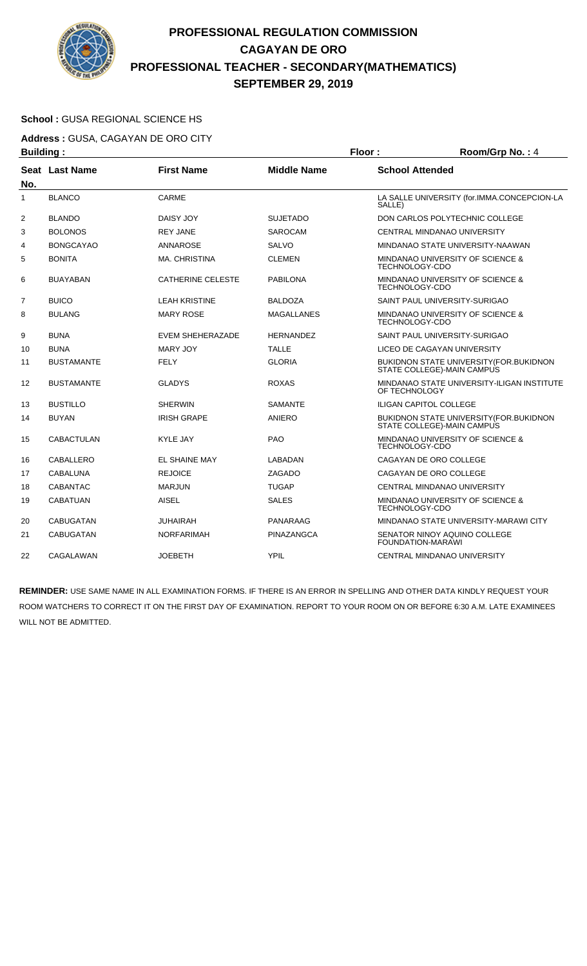

### **School :** GUSA REGIONAL SCIENCE HS

**Address :** GUSA, CAGAYAN DE ORO CITY

| <b>Building:</b> |                       |                          |                    | Floor:                 | Room/Grp No.: 4                                                              |
|------------------|-----------------------|--------------------------|--------------------|------------------------|------------------------------------------------------------------------------|
| No.              | <b>Seat Last Name</b> | <b>First Name</b>        | <b>Middle Name</b> | <b>School Attended</b> |                                                                              |
| 1                | <b>BLANCO</b>         | CARME                    |                    | SALLE)                 | LA SALLE UNIVERSITY (for.IMMA.CONCEPCION-LA                                  |
| 2                | <b>BLANDO</b>         | DAISY JOY                | <b>SUJETADO</b>    |                        | DON CARLOS POLYTECHNIC COLLEGE                                               |
| 3                | <b>BOLONOS</b>        | <b>REY JANE</b>          | <b>SAROCAM</b>     |                        | CENTRAL MINDANAO UNIVERSITY                                                  |
| 4                | <b>BONGCAYAO</b>      | <b>ANNAROSE</b>          | <b>SALVO</b>       |                        | MINDANAO STATE UNIVERSITY-NAAWAN                                             |
| 5                | <b>BONITA</b>         | MA. CHRISTINA            | <b>CLEMEN</b>      | TECHNOLOGY-CDO         | MINDANAO UNIVERSITY OF SCIENCE &                                             |
| 6                | <b>BUAYABAN</b>       | <b>CATHERINE CELESTE</b> | <b>PABILONA</b>    | TECHNOLOGY-CDO         | MINDANAO UNIVERSITY OF SCIENCE &                                             |
| $\overline{7}$   | <b>BUICO</b>          | <b>LEAH KRISTINE</b>     | <b>BALDOZA</b>     |                        | SAINT PAUL UNIVERSITY-SURIGAO                                                |
| 8                | <b>BULANG</b>         | <b>MARY ROSE</b>         | <b>MAGALLANES</b>  | TECHNOLOGY-CDO         | MINDANAO UNIVERSITY OF SCIENCE &                                             |
| 9                | <b>BUNA</b>           | EVEM SHEHERAZADE         | <b>HERNANDEZ</b>   |                        | SAINT PAUL UNIVERSITY-SURIGAO                                                |
| 10               | <b>BUNA</b>           | <b>MARY JOY</b>          | <b>TALLE</b>       |                        | LICEO DE CAGAYAN UNIVERSITY                                                  |
| 11               | <b>BUSTAMANTE</b>     | <b>FELY</b>              | <b>GLORIA</b>      |                        | BUKIDNON STATE UNIVERSITY (FOR. BUKIDNON<br>STATE COLLEGE)-MAIN CAMPUS       |
| 12               | <b>BUSTAMANTE</b>     | <b>GLADYS</b>            | <b>ROXAS</b>       | OF TECHNOLOGY          | MINDANAO STATE UNIVERSITY-ILIGAN INSTITUTE                                   |
| 13               | <b>BUSTILLO</b>       | <b>SHERWIN</b>           | <b>SAMANTE</b>     |                        | <b>ILIGAN CAPITOL COLLEGE</b>                                                |
| 14               | <b>BUYAN</b>          | <b>IRISH GRAPE</b>       | <b>ANIERO</b>      |                        | <b>BUKIDNON STATE UNIVERSITY (FOR.BUKIDNON</b><br>STATE COLLEGE)-MAIN CAMPUS |
| 15               | <b>CABACTULAN</b>     | <b>KYLE JAY</b>          | <b>PAO</b>         | <b>TECHNOLOGY-CDO</b>  | MINDANAO UNIVERSITY OF SCIENCE &                                             |
| 16               | CABALLERO             | EL SHAINE MAY            | LABADAN            |                        | CAGAYAN DE ORO COLLEGE                                                       |
| 17               | CABALUNA              | <b>REJOICE</b>           | ZAGADO             |                        | CAGAYAN DE ORO COLLEGE                                                       |
| 18               | CABANTAC              | <b>MARJUN</b>            | <b>TUGAP</b>       |                        | CENTRAL MINDANAO UNIVERSITY                                                  |
| 19               | <b>CABATUAN</b>       | <b>AISEL</b>             | <b>SALES</b>       | <b>TECHNOLOGY-CDO</b>  | MINDANAO UNIVERSITY OF SCIENCE &                                             |
| 20               | <b>CABUGATAN</b>      | JUHAIRAH                 | PANARAAG           |                        | MINDANAO STATE UNIVERSITY-MARAWI CITY                                        |
| 21               | <b>CABUGATAN</b>      | <b>NORFARIMAH</b>        | PINAZANGCA         |                        | SENATOR NINOY AQUINO COLLEGE<br>FOUNDATION-MARAWI                            |
| 22               | CAGALAWAN             | <b>JOEBETH</b>           | <b>YPIL</b>        |                        | CENTRAL MINDANAO UNIVERSITY                                                  |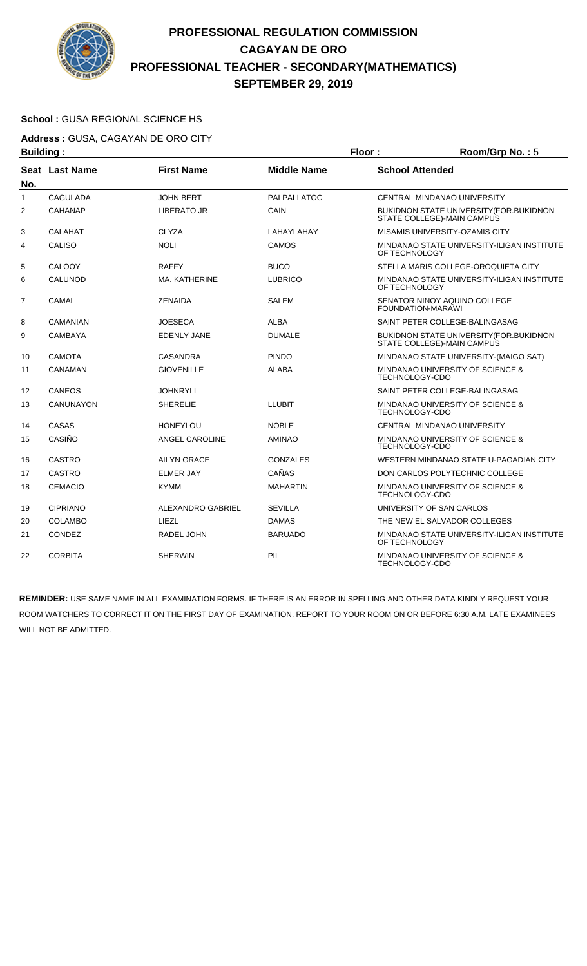

### **School :** GUSA REGIONAL SCIENCE HS

**Address :** GUSA, CAGAYAN DE ORO CITY

|              | <b>Building:</b> |                          |                    |                        | Room/Grp No.: 5                                                              |
|--------------|------------------|--------------------------|--------------------|------------------------|------------------------------------------------------------------------------|
| No.          | Seat Last Name   | <b>First Name</b>        | <b>Middle Name</b> | <b>School Attended</b> |                                                                              |
| $\mathbf{1}$ | <b>CAGULADA</b>  | <b>JOHN BERT</b>         | <b>PALPALLATOC</b> |                        | CENTRAL MINDANAO UNIVERSITY                                                  |
| 2            | CAHANAP          | LIBERATO JR              | CAIN               |                        | <b>BUKIDNON STATE UNIVERSITY (FOR.BUKIDNON</b><br>STATE COLLEGE)-MAIN CAMPUS |
| 3            | <b>CALAHAT</b>   | <b>CLYZA</b>             | LAHAYLAHAY         |                        | MISAMIS UNIVERSITY-OZAMIS CITY                                               |
| 4            | <b>CALISO</b>    | <b>NOLI</b>              | CAMOS              | OF TECHNOLOGY          | MINDANAO STATE UNIVERSITY-ILIGAN INSTITUTE                                   |
| 5            | CALOOY           | <b>RAFFY</b>             | <b>BUCO</b>        |                        | STELLA MARIS COLLEGE-OROQUIETA CITY                                          |
| 6            | CALUNOD          | MA. KATHERINE            | <b>LUBRICO</b>     | OF TECHNOLOGY          | MINDANAO STATE UNIVERSITY-ILIGAN INSTITUTE                                   |
| 7            | CAMAL            | <b>ZENAIDA</b>           | <b>SALEM</b>       |                        | SENATOR NINOY AQUINO COLLEGE<br><b>FOUNDATION-MARAWI</b>                     |
| 8            | CAMANIAN         | <b>JOESECA</b>           | <b>ALBA</b>        |                        | SAINT PETER COLLEGE-BALINGASAG                                               |
| 9            | <b>CAMBAYA</b>   | <b>EDENLY JANE</b>       | <b>DUMALE</b>      |                        | BUKIDNON STATE UNIVERSITY(FOR.BUKIDNON<br>STATE COLLEGE)-MAIN CAMPUS         |
| 10           | <b>CAMOTA</b>    | <b>CASANDRA</b>          | <b>PINDO</b>       |                        | MINDANAO STATE UNIVERSITY-(MAIGO SAT)                                        |
| 11           | CANAMAN          | <b>GIOVENILLE</b>        | <b>ALABA</b>       | TECHNOLOGY-CDO         | MINDANAO UNIVERSITY OF SCIENCE &                                             |
| 12           | CANEOS           | <b>JOHNRYLL</b>          |                    |                        | SAINT PETER COLLEGE-BALINGASAG                                               |
| 13           | <b>CANUNAYON</b> | <b>SHERELIE</b>          | LLUBIT             | TECHNOLOGY-CDO         | MINDANAO UNIVERSITY OF SCIENCE &                                             |
| 14           | <b>CASAS</b>     | <b>HONEYLOU</b>          | <b>NOBLE</b>       |                        | CENTRAL MINDANAO UNIVERSITY                                                  |
| 15           | CASIÑO           | <b>ANGEL CAROLINE</b>    | <b>AMINAO</b>      | TECHNOLOGY-CDO         | MINDANAO UNIVERSITY OF SCIENCE &                                             |
| 16           | <b>CASTRO</b>    | <b>AILYN GRACE</b>       | <b>GONZALES</b>    |                        | WESTERN MINDANAO STATE U-PAGADIAN CITY                                       |
| 17           | <b>CASTRO</b>    | <b>ELMER JAY</b>         | CAÑAS              |                        | DON CARLOS POLYTECHNIC COLLEGE                                               |
| 18           | <b>CEMACIO</b>   | <b>KYMM</b>              | <b>MAHARTIN</b>    | TECHNOLOGY-CDO         | MINDANAO UNIVERSITY OF SCIENCE &                                             |
| 19           | <b>CIPRIANO</b>  | <b>ALEXANDRO GABRIEL</b> | <b>SEVILLA</b>     |                        | UNIVERSITY OF SAN CARLOS                                                     |
| 20           | COLAMBO          | LIEZL                    | <b>DAMAS</b>       |                        | THE NEW EL SALVADOR COLLEGES                                                 |
| 21           | CONDEZ           | RADEL JOHN               | <b>BARUADO</b>     | OF TECHNOLOGY          | MINDANAO STATE UNIVERSITY-ILIGAN INSTITUTE                                   |
| 22           | <b>CORBITA</b>   | <b>SHERWIN</b>           | PIL                | TECHNOLOGY-CDO         | MINDANAO UNIVERSITY OF SCIENCE &                                             |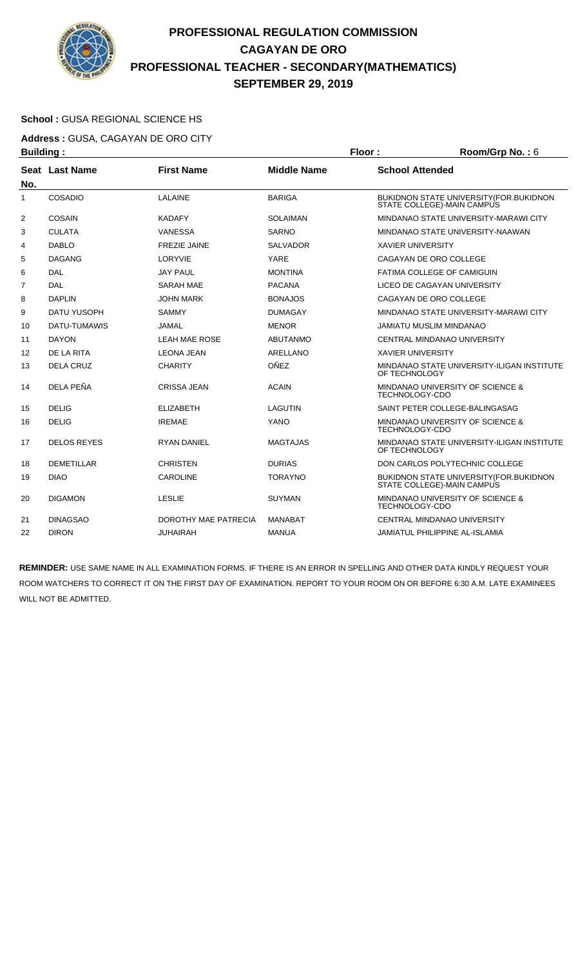

### **School :** GUSA REGIONAL SCIENCE HS

**Address :** GUSA, CAGAYAN DE ORO CITY **Building : Floor : Room/Grp No. :** 6

| sananig i      |                    |                      |                    |                                                                        |
|----------------|--------------------|----------------------|--------------------|------------------------------------------------------------------------|
| No.            | Seat Last Name     | <b>First Name</b>    | <b>Middle Name</b> | <b>School Attended</b>                                                 |
| 1              | <b>COSADIO</b>     | LALAINE              | <b>BARIGA</b>      | BUKIDNON STATE UNIVERSITY (FOR BUKIDNON<br>STATE COLLEGE)-MAIN CAMPUS  |
| 2              | COSAIN             | <b>KADAFY</b>        | <b>SOLAIMAN</b>    | MINDANAO STATE UNIVERSITY-MARAWI CITY                                  |
| 3              | <b>CULATA</b>      | <b>VANESSA</b>       | <b>SARNO</b>       | MINDANAO STATE UNIVERSITY-NAAWAN                                       |
| 4              | <b>DABLO</b>       | <b>FREZIE JAINE</b>  | <b>SALVADOR</b>    | <b>XAVIER UNIVERSITY</b>                                               |
| 5              | <b>DAGANG</b>      | LORYVIE              | <b>YARE</b>        | CAGAYAN DE ORO COLLEGE                                                 |
| 6              | <b>DAL</b>         | <b>JAY PAUL</b>      | <b>MONTINA</b>     | FATIMA COLLEGE OF CAMIGUIN                                             |
| $\overline{7}$ | DAL                | <b>SARAH MAE</b>     | <b>PACANA</b>      | LICEO DE CAGAYAN UNIVERSITY                                            |
| 8              | <b>DAPLIN</b>      | <b>JOHN MARK</b>     | <b>BONAJOS</b>     | CAGAYAN DE ORO COLLEGE                                                 |
| 9              | <b>DATU YUSOPH</b> | <b>SAMMY</b>         | <b>DUMAGAY</b>     | MINDANAO STATE UNIVERSITY-MARAWI CITY                                  |
| 10             | DATU-TUMAWIS       | <b>JAMAL</b>         | <b>MENOR</b>       | JAMIATU MUSLIM MINDANAO                                                |
| 11             | <b>DAYON</b>       | <b>LEAH MAE ROSE</b> | <b>ABUTANMO</b>    | <b>CENTRAL MINDANAO UNIVERSITY</b>                                     |
| 12             | DE LA RITA         | <b>LEONA JEAN</b>    | <b>ARELLANO</b>    | <b>XAVIER UNIVERSITY</b>                                               |
| 13             | <b>DELA CRUZ</b>   | <b>CHARITY</b>       | OÑEZ               | MINDANAO STATE UNIVERSITY-ILIGAN INSTITUTE<br>OF TECHNOLOGY            |
| 14             | DELA PEÑA          | <b>CRISSA JEAN</b>   | <b>ACAIN</b>       | MINDANAO UNIVERSITY OF SCIENCE &<br><b>TECHNOLOGY-CDO</b>              |
| 15             | <b>DELIG</b>       | <b>ELIZABETH</b>     | LAGUTIN            | SAINT PETER COLLEGE-BALINGASAG                                         |
| 16             | <b>DELIG</b>       | <b>IREMAE</b>        | <b>YANO</b>        | MINDANAO UNIVERSITY OF SCIENCE &<br>TECHNOLOGY-CDO                     |
| 17             | <b>DELOS REYES</b> | <b>RYAN DANIEL</b>   | <b>MAGTAJAS</b>    | MINDANAO STATE UNIVERSITY-ILIGAN INSTITUTE<br>OF TECHNOLOGY            |
| 18             | <b>DEMETILLAR</b>  | <b>CHRISTEN</b>      | <b>DURIAS</b>      | DON CARLOS POLYTECHNIC COLLEGE                                         |
| 19             | <b>DIAO</b>        | <b>CAROLINE</b>      | <b>TORAYNO</b>     | BUKIDNON STATE UNIVERSITY (FOR. BUKIDNON<br>STATE COLLEGE)-MAIN CAMPUS |
| 20             | <b>DIGAMON</b>     | <b>LESLIE</b>        | <b>SUYMAN</b>      | MINDANAO UNIVERSITY OF SCIENCE &<br><b>TECHNOLOGY-CDO</b>              |
| 21             | <b>DINAGSAO</b>    | DOROTHY MAE PATRECIA | MANABAT            | CENTRAL MINDANAO UNIVERSITY                                            |
| 22             | <b>DIRON</b>       | <b>JUHAIRAH</b>      | <b>MANUA</b>       | <b>JAMIATUL PHILIPPINE AL-ISLAMIA</b>                                  |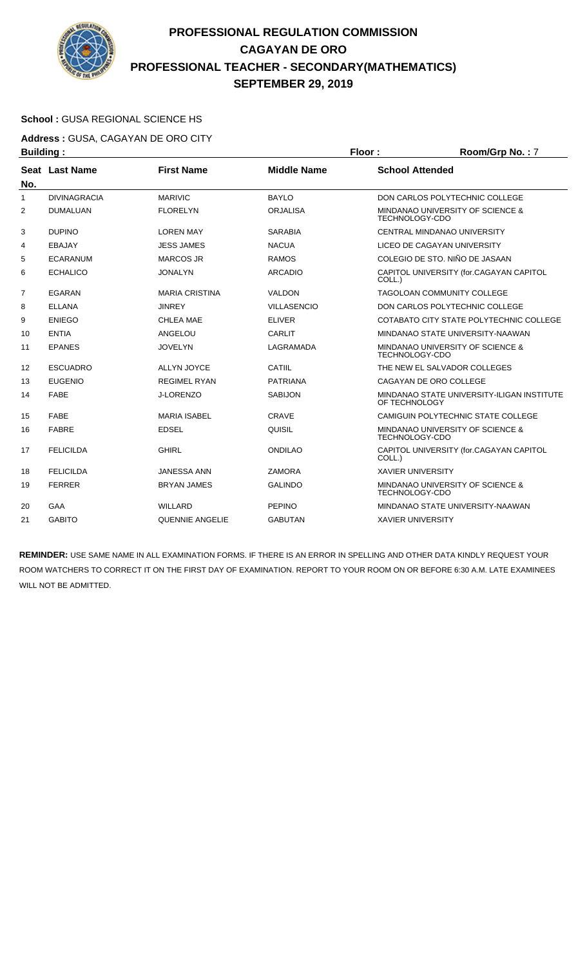

### **School :** GUSA REGIONAL SCIENCE HS

**Address :** GUSA, CAGAYAN DE ORO CITY **Building : Floor : Room/Grp No. :** 7

|     | .                   |                        |                    |                                                             |
|-----|---------------------|------------------------|--------------------|-------------------------------------------------------------|
| No. | Seat Last Name      | <b>First Name</b>      | <b>Middle Name</b> | <b>School Attended</b>                                      |
| 1   | <b>DIVINAGRACIA</b> | <b>MARIVIC</b>         | <b>BAYLO</b>       | DON CARLOS POLYTECHNIC COLLEGE                              |
| 2   | <b>DUMALUAN</b>     | <b>FLORELYN</b>        | <b>ORJALISA</b>    | MINDANAO UNIVERSITY OF SCIENCE &<br>TECHNOLOGY-CDO          |
| 3   | <b>DUPINO</b>       | <b>LOREN MAY</b>       | <b>SARABIA</b>     | CENTRAL MINDANAO UNIVERSITY                                 |
| 4   | EBAJAY              | <b>JESS JAMES</b>      | <b>NACUA</b>       | LICEO DE CAGAYAN UNIVERSITY                                 |
| 5   | <b>ECARANUM</b>     | <b>MARCOS JR</b>       | <b>RAMOS</b>       | COLEGIO DE STO. NIÑO DE JASAAN                              |
| 6   | <b>ECHALICO</b>     | <b>JONALYN</b>         | <b>ARCADIO</b>     | CAPITOL UNIVERSITY (for.CAGAYAN CAPITOL<br>COLL.)           |
| 7   | EGARAN              | <b>MARIA CRISTINA</b>  | <b>VALDON</b>      | <b>TAGOLOAN COMMUNITY COLLEGE</b>                           |
| 8   | <b>ELLANA</b>       | <b>JINREY</b>          | <b>VILLASENCIO</b> | DON CARLOS POLYTECHNIC COLLEGE                              |
| 9   | <b>ENIEGO</b>       | <b>CHLEA MAE</b>       | <b>ELIVER</b>      | COTABATO CITY STATE POLYTECHNIC COLLEGE                     |
| 10  | <b>ENTIA</b>        | ANGELOU                | <b>CARLIT</b>      | MINDANAO STATE UNIVERSITY-NAAWAN                            |
| 11  | <b>EPANES</b>       | <b>JOVELYN</b>         | LAGRAMADA          | MINDANAO UNIVERSITY OF SCIENCE &<br><b>TECHNOLOGY-CDO</b>   |
| 12  | <b>ESCUADRO</b>     | <b>ALLYN JOYCE</b>     | CATIIL             | THE NEW EL SALVADOR COLLEGES                                |
| 13  | <b>EUGENIO</b>      | <b>REGIMEL RYAN</b>    | <b>PATRIANA</b>    | CAGAYAN DE ORO COLLEGE                                      |
| 14  | <b>FABE</b>         | <b>J-LORENZO</b>       | <b>SABIJON</b>     | MINDANAO STATE UNIVERSITY-ILIGAN INSTITUTE<br>OF TECHNOLOGY |
| 15  | <b>FABE</b>         | <b>MARIA ISABEL</b>    | <b>CRAVE</b>       | CAMIGUIN POLYTECHNIC STATE COLLEGE                          |
| 16  | <b>FABRE</b>        | <b>EDSEL</b>           | QUISIL             | MINDANAO UNIVERSITY OF SCIENCE &<br>TECHNOLOGY-CDO          |
| 17  | <b>FELICILDA</b>    | <b>GHIRL</b>           | <b>ONDILAO</b>     | CAPITOL UNIVERSITY (for.CAGAYAN CAPITOL<br>COLL.)           |
| 18  | <b>FELICILDA</b>    | <b>JANESSA ANN</b>     | <b>ZAMORA</b>      | <b>XAVIER UNIVERSITY</b>                                    |
| 19  | <b>FERRER</b>       | <b>BRYAN JAMES</b>     | <b>GALINDO</b>     | MINDANAO UNIVERSITY OF SCIENCE &<br><b>TECHNOLOGY-CDO</b>   |
| 20  | GAA                 | <b>WILLARD</b>         | <b>PEPINO</b>      | MINDANAO STATE UNIVERSITY-NAAWAN                            |
| 21  | <b>GABITO</b>       | <b>QUENNIE ANGELIE</b> | <b>GABUTAN</b>     | <b>XAVIER UNIVERSITY</b>                                    |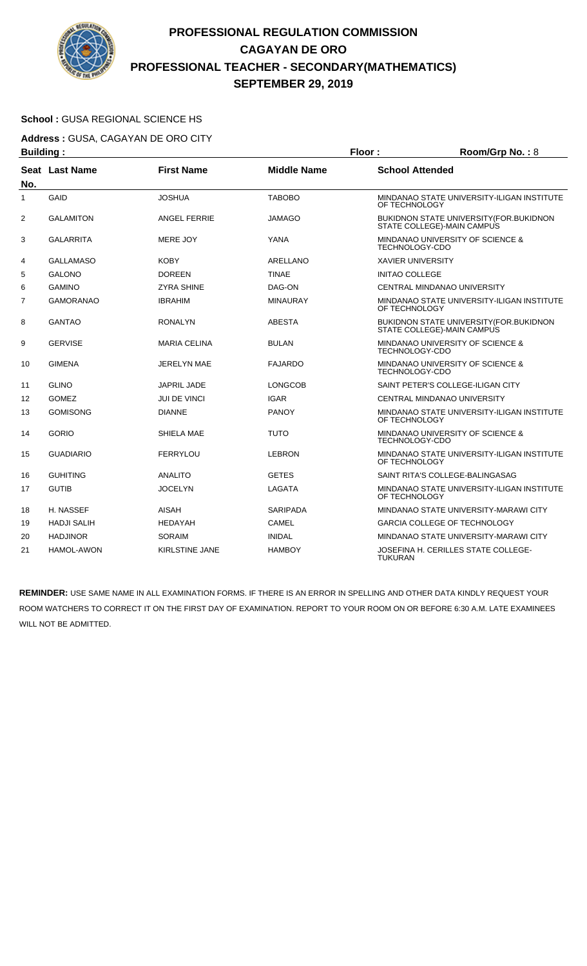

### **School :** GUSA REGIONAL SCIENCE HS

**Address :** GUSA, CAGAYAN DE ORO CITY **Building : Floor : Room/Grp No. :** 8

| Pananig .      |                       |                       |                    | .                                                                      |
|----------------|-----------------------|-----------------------|--------------------|------------------------------------------------------------------------|
| No.            | <b>Seat Last Name</b> | <b>First Name</b>     | <b>Middle Name</b> | <b>School Attended</b>                                                 |
| 1              | GAID                  | <b>JOSHUA</b>         | <b>TABOBO</b>      | MINDANAO STATE UNIVERSITY-ILIGAN INSTITUTE<br>OF TECHNOLOGY            |
| $\overline{2}$ | <b>GALAMITON</b>      | <b>ANGEL FERRIE</b>   | JAMAGO             | BUKIDNON STATE UNIVERSITY (FOR BUKIDNON<br>STATE COLLEGE)-MAIN CAMPUS  |
| 3              | <b>GALARRITA</b>      | MERE JOY              | YANA               | MINDANAO UNIVERSITY OF SCIENCE &<br>TECHNOLOGY-CDO                     |
| 4              | <b>GALLAMASO</b>      | <b>KOBY</b>           | ARELLANO           | <b>XAVIER UNIVERSITY</b>                                               |
| 5              | <b>GALONO</b>         | <b>DOREEN</b>         | <b>TINAE</b>       | <b>INITAO COLLEGE</b>                                                  |
| 6              | <b>GAMINO</b>         | <b>ZYRA SHINE</b>     | DAG-ON             | CENTRAL MINDANAO UNIVERSITY                                            |
| 7              | <b>GAMORANAO</b>      | <b>IBRAHIM</b>        | <b>MINAURAY</b>    | MINDANAO STATE UNIVERSITY-ILIGAN INSTITUTE<br>OF TECHNOLOGY            |
| 8              | <b>GANTAO</b>         | <b>RONALYN</b>        | <b>ABESTA</b>      | BUKIDNON STATE UNIVERSITY (FOR. BUKIDNON<br>STATE COLLEGE)-MAIN CAMPUS |
| 9              | <b>GERVISE</b>        | <b>MARIA CELINA</b>   | <b>BULAN</b>       | MINDANAO UNIVERSITY OF SCIENCE &<br>TECHNOLOGY-CDO                     |
| 10             | <b>GIMENA</b>         | <b>JERELYN MAE</b>    | <b>FAJARDO</b>     | MINDANAO UNIVERSITY OF SCIENCE &<br>TECHNOLOGY-CDO                     |
| 11             | <b>GLINO</b>          | <b>JAPRIL JADE</b>    | LONGCOB            | SAINT PETER'S COLLEGE-ILIGAN CITY                                      |
| 12             | <b>GOMEZ</b>          | JUI DE VINCI          | <b>IGAR</b>        | CENTRAL MINDANAO UNIVERSITY                                            |
| 13             | <b>GOMISONG</b>       | <b>DIANNE</b>         | <b>PANOY</b>       | MINDANAO STATE UNIVERSITY-ILIGAN INSTITUTE<br>OF TECHNOLOGY            |
| 14             | <b>GORIO</b>          | SHIELA MAE            | <b>TUTO</b>        | MINDANAO UNIVERSITY OF SCIENCE &<br>TECHNOLOGY-CDO                     |
| 15             | <b>GUADIARIO</b>      | <b>FERRYLOU</b>       | LEBRON             | MINDANAO STATE UNIVERSITY-ILIGAN INSTITUTE<br>OF TECHNOLOGY            |
| 16             | <b>GUHITING</b>       | <b>ANALITO</b>        | <b>GETES</b>       | SAINT RITA'S COLLEGE-BALINGASAG                                        |
| 17             | <b>GUTIB</b>          | JOCELYN               | LAGATA             | MINDANAO STATE UNIVERSITY-ILIGAN INSTITUTE<br>OF TECHNOLOGY            |
| 18             | H. NASSEF             | <b>AISAH</b>          | <b>SARIPADA</b>    | MINDANAO STATE UNIVERSITY-MARAWI CITY                                  |
| 19             | <b>HADJI SALIH</b>    | <b>HEDAYAH</b>        | <b>CAMEL</b>       | <b>GARCIA COLLEGE OF TECHNOLOGY</b>                                    |
| 20             | <b>HADJINOR</b>       | <b>SORAIM</b>         | <b>INIDAL</b>      | MINDANAO STATE UNIVERSITY-MARAWI CITY                                  |
| 21             | <b>HAMOL-AWON</b>     | <b>KIRLSTINE JANE</b> | <b>HAMBOY</b>      | JOSEFINA H. CERILLES STATE COLLEGE-<br><b>TUKURAN</b>                  |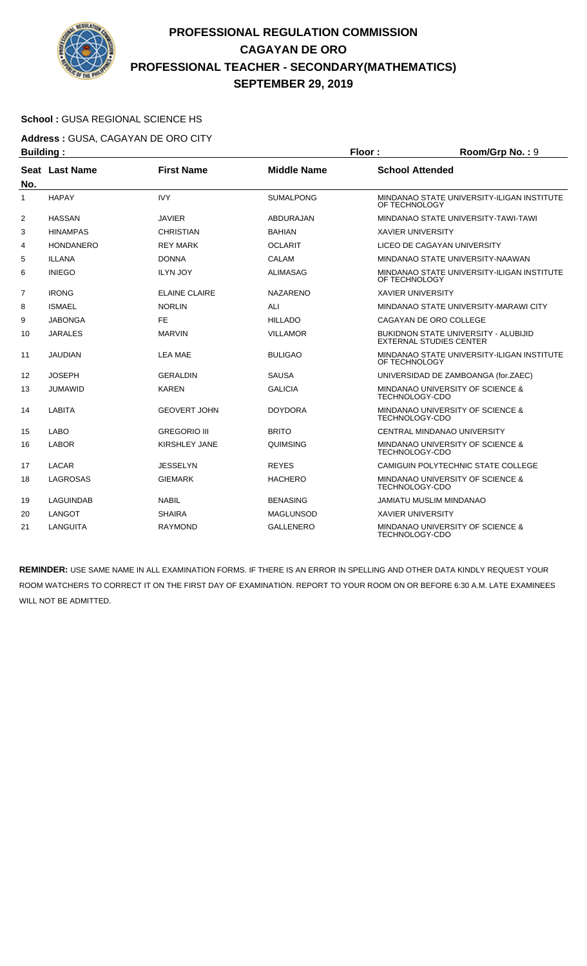

### **School :** GUSA REGIONAL SCIENCE HS

**Address :** GUSA, CAGAYAN DE ORO CITY

| <b>Building:</b> |                  |                      |                    | Floor:                   | Room/Grp No.: 9                                                               |
|------------------|------------------|----------------------|--------------------|--------------------------|-------------------------------------------------------------------------------|
|                  | Seat Last Name   | <b>First Name</b>    | <b>Middle Name</b> | <b>School Attended</b>   |                                                                               |
| No.              |                  |                      |                    |                          |                                                                               |
| 1                | <b>HAPAY</b>     | <b>IVY</b>           | <b>SUMALPONG</b>   | OF TECHNOLOGY            | MINDANAO STATE UNIVERSITY-ILIGAN INSTITUTE                                    |
| 2                | <b>HASSAN</b>    | <b>JAVIER</b>        | <b>ABDURAJAN</b>   |                          | MINDANAO STATE UNIVERSITY-TAWI-TAWI                                           |
| 3                | <b>HINAMPAS</b>  | CHRISTIAN            | <b>BAHIAN</b>      | <b>XAVIER UNIVERSITY</b> |                                                                               |
| 4                | <b>HONDANERO</b> | <b>REY MARK</b>      | <b>OCLARIT</b>     |                          | LICEO DE CAGAYAN UNIVERSITY                                                   |
| 5                | <b>ILLANA</b>    | <b>DONNA</b>         | <b>CALAM</b>       |                          | MINDANAO STATE UNIVERSITY-NAAWAN                                              |
| 6                | <b>INIEGO</b>    | <b>ILYN JOY</b>      | <b>ALIMASAG</b>    | OF TECHNOLOGY            | MINDANAO STATE UNIVERSITY-ILIGAN INSTITUTE                                    |
| $\overline{7}$   | <b>IRONG</b>     | <b>ELAINE CLAIRE</b> | <b>NAZARENO</b>    | <b>XAVIER UNIVERSITY</b> |                                                                               |
| 8                | <b>ISMAEL</b>    | <b>NORLIN</b>        | ALI                |                          | MINDANAO STATE UNIVERSITY-MARAWI CITY                                         |
| 9                | <b>JABONGA</b>   | <b>FE</b>            | <b>HILLADO</b>     |                          | CAGAYAN DE ORO COLLEGE                                                        |
| 10               | <b>JARALES</b>   | <b>MARVIN</b>        | <b>VILLAMOR</b>    |                          | <b>BUKIDNON STATE UNIVERSITY - ALUBIJID</b><br><b>EXTERNAL STUDIES CENTER</b> |
| 11               | <b>JAUDIAN</b>   | <b>LEA MAE</b>       | <b>BULIGAO</b>     | OF TECHNOLOGY            | MINDANAO STATE UNIVERSITY-ILIGAN INSTITUTE                                    |
| 12               | <b>JOSEPH</b>    | <b>GERALDIN</b>      | <b>SAUSA</b>       |                          | UNIVERSIDAD DE ZAMBOANGA (for.ZAEC)                                           |
| 13               | <b>JUMAWID</b>   | <b>KAREN</b>         | <b>GALICIA</b>     | TECHNOLOGY-CDO           | MINDANAO UNIVERSITY OF SCIENCE &                                              |
| 14               | <b>LABITA</b>    | <b>GEOVERT JOHN</b>  | <b>DOYDORA</b>     | <b>TECHNOLOGY-CDO</b>    | MINDANAO UNIVERSITY OF SCIENCE &                                              |
| 15               | <b>LABO</b>      | <b>GREGORIO III</b>  | <b>BRITO</b>       |                          | CENTRAL MINDANAO UNIVERSITY                                                   |
| 16               | <b>LABOR</b>     | KIRSHLEY JANE        | QUIMSING           | <b>TECHNOLOGY-CDO</b>    | MINDANAO UNIVERSITY OF SCIENCE &                                              |
| 17               | LACAR            | JESSELYN             | <b>REYES</b>       |                          | CAMIGUIN POLYTECHNIC STATE COLLEGE                                            |
| 18               | <b>LAGROSAS</b>  | <b>GIEMARK</b>       | <b>HACHERO</b>     | <b>TECHNOLOGY-CDO</b>    | MINDANAO UNIVERSITY OF SCIENCE &                                              |
| 19               | <b>LAGUINDAB</b> | <b>NABIL</b>         | <b>BENASING</b>    |                          | <b>JAMIATU MUSLIM MINDANAO</b>                                                |
| 20               | <b>LANGOT</b>    | <b>SHAIRA</b>        | <b>MAGLUNSOD</b>   | <b>XAVIER UNIVERSITY</b> |                                                                               |
| 21               | <b>LANGUITA</b>  | <b>RAYMOND</b>       | <b>GALLENERO</b>   | <b>TECHNOLOGY-CDO</b>    | MINDANAO UNIVERSITY OF SCIENCE &                                              |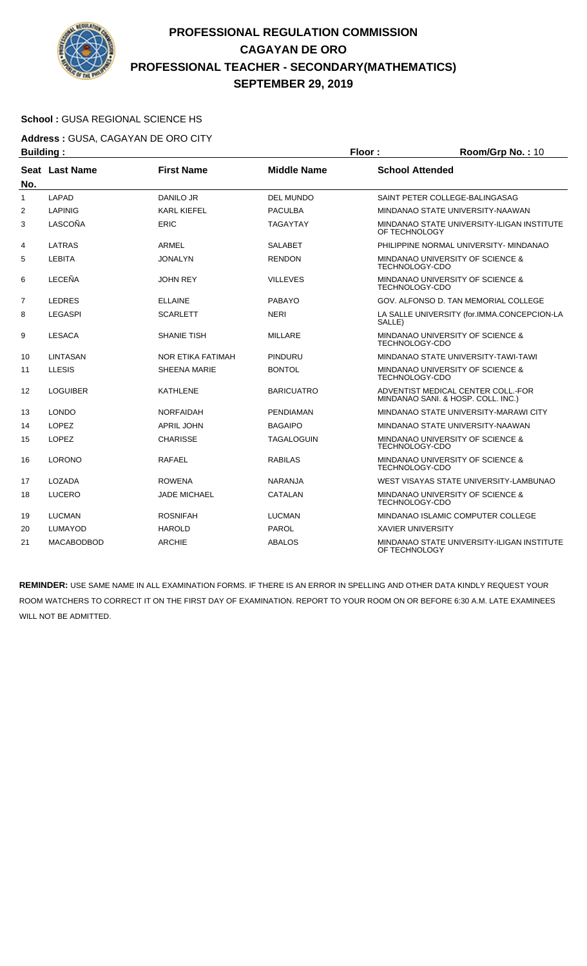

### **School :** GUSA REGIONAL SCIENCE HS

**Address :** GUSA, CAGAYAN DE ORO CITY

| <b>Building:</b> |                   |                     |                    | Floor:                   | Room/Grp No.: 10                                                         |
|------------------|-------------------|---------------------|--------------------|--------------------------|--------------------------------------------------------------------------|
| No.              | Seat Last Name    | <b>First Name</b>   | <b>Middle Name</b> | <b>School Attended</b>   |                                                                          |
| 1                | <b>LAPAD</b>      | <b>DANILO JR</b>    | <b>DEL MUNDO</b>   |                          | SAINT PETER COLLEGE-BALINGASAG                                           |
| $\overline{2}$   | <b>LAPINIG</b>    | <b>KARL KIEFEL</b>  | <b>PACULBA</b>     |                          | MINDANAO STATE UNIVERSITY-NAAWAN                                         |
| 3                | LASCOÑA           | ERIC                | <b>TAGAYTAY</b>    | OF TECHNOLOGY            | MINDANAO STATE UNIVERSITY-ILIGAN INSTITUTE                               |
| 4                | <b>LATRAS</b>     | ARMEL               | <b>SALABET</b>     |                          | PHILIPPINE NORMAL UNIVERSITY- MINDANAO                                   |
| 5                | <b>LEBITA</b>     | <b>JONALYN</b>      | <b>RENDON</b>      | TECHNOLOGY-CDO           | MINDANAO UNIVERSITY OF SCIENCE &                                         |
| 6                | LECEÑA            | <b>JOHN REY</b>     | <b>VILLEVES</b>    | TECHNOLOGY-CDO           | MINDANAO UNIVERSITY OF SCIENCE &                                         |
| $\overline{7}$   | <b>LEDRES</b>     | <b>ELLAINE</b>      | <b>PABAYO</b>      |                          | GOV. ALFONSO D. TAN MEMORIAL COLLEGE                                     |
| 8                | <b>LEGASPI</b>    | <b>SCARLETT</b>     | <b>NERI</b>        | SALLE)                   | LA SALLE UNIVERSITY (for.IMMA.CONCEPCION-LA                              |
| 9                | <b>LESACA</b>     | <b>SHANIE TISH</b>  | <b>MILLARE</b>     | <b>TECHNOLOGY-CDO</b>    | MINDANAO UNIVERSITY OF SCIENCE &                                         |
| 10               | <b>LINTASAN</b>   | NOR ETIKA FATIMAH   | <b>PINDURU</b>     |                          | MINDANAO STATE UNIVERSITY-TAWI-TAWI                                      |
| 11               | <b>LLESIS</b>     | <b>SHEENA MARIE</b> | <b>BONTOL</b>      | <b>TECHNOLOGY-CDO</b>    | MINDANAO UNIVERSITY OF SCIENCE &                                         |
| 12               | <b>LOGUIBER</b>   | <b>KATHLENE</b>     | <b>BARICUATRO</b>  |                          | ADVENTIST MEDICAL CENTER COLL. FOR<br>MINDANAO SANI. & HOSP. COLL. INC.) |
| 13               | <b>LONDO</b>      | <b>NORFAIDAH</b>    | <b>PENDIAMAN</b>   |                          | MINDANAO STATE UNIVERSITY-MARAWI CITY                                    |
| 14               | <b>LOPEZ</b>      | <b>APRIL JOHN</b>   | <b>BAGAIPO</b>     |                          | MINDANAO STATE UNIVERSITY-NAAWAN                                         |
| 15               | <b>LOPEZ</b>      | <b>CHARISSE</b>     | <b>TAGALOGUIN</b>  | TECHNOLOGY-CDO           | MINDANAO UNIVERSITY OF SCIENCE &                                         |
| 16               | <b>LORONO</b>     | <b>RAFAEL</b>       | <b>RABILAS</b>     | TECHNOLOGY-CDO           | MINDANAO UNIVERSITY OF SCIENCE &                                         |
| 17               | LOZADA            | <b>ROWENA</b>       | <b>NARANJA</b>     |                          | WEST VISAYAS STATE UNIVERSITY-LAMBUNAO                                   |
| 18               | <b>LUCERO</b>     | <b>JADE MICHAEL</b> | CATALAN            | <b>TECHNOLOGY-CDO</b>    | MINDANAO UNIVERSITY OF SCIENCE &                                         |
| 19               | <b>LUCMAN</b>     | <b>ROSNIFAH</b>     | <b>LUCMAN</b>      |                          | MINDANAO ISLAMIC COMPUTER COLLEGE                                        |
| 20               | <b>LUMAYOD</b>    | <b>HAROLD</b>       | PAROL              | <b>XAVIER UNIVERSITY</b> |                                                                          |
| 21               | <b>MACABODBOD</b> | <b>ARCHIE</b>       | <b>ABALOS</b>      | OF TECHNOLOGY            | MINDANAO STATE UNIVERSITY-ILIGAN INSTITUTE                               |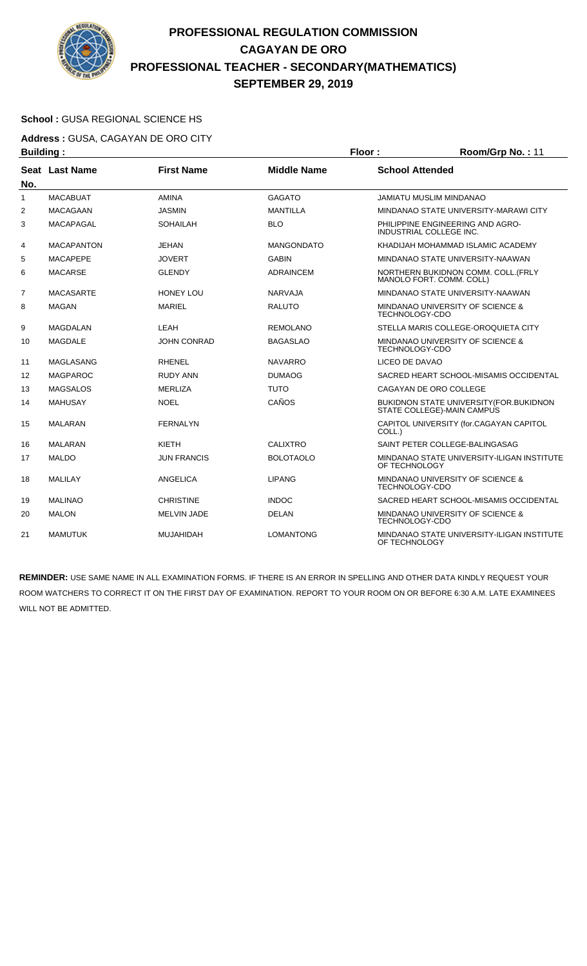

### **School :** GUSA REGIONAL SCIENCE HS

**Address :** GUSA, CAGAYAN DE ORO CITY **Building : Floor : Floor : Room/Grp No. : 11** 

| No.          | Seat Last Name    | <b>First Name</b>  | <b>Middle Name</b> | <b>School Attended</b>                                                 |  |
|--------------|-------------------|--------------------|--------------------|------------------------------------------------------------------------|--|
| $\mathbf{1}$ | <b>MACABUAT</b>   | <b>AMINA</b>       | <b>GAGATO</b>      | <b>JAMIATU MUSLIM MINDANAO</b>                                         |  |
| 2            | <b>MACAGAAN</b>   | <b>JASMIN</b>      | <b>MANTILLA</b>    | MINDANAO STATE UNIVERSITY-MARAWI CITY                                  |  |
| 3            | <b>MACAPAGAL</b>  | SOHAILAH           | <b>BLO</b>         | PHILIPPINE ENGINEERING AND AGRO-<br><b>INDUSTRIAL COLLEGE INC.</b>     |  |
| 4            | <b>MACAPANTON</b> | <b>JEHAN</b>       | <b>MANGONDATO</b>  | KHADIJAH MOHAMMAD ISLAMIC ACADEMY                                      |  |
| 5            | <b>MACAPEPE</b>   | <b>JOVERT</b>      | <b>GABIN</b>       | MINDANAO STATE UNIVERSITY-NAAWAN                                       |  |
| 6            | <b>MACARSE</b>    | <b>GLENDY</b>      | <b>ADRAINCEM</b>   | NORTHERN BUKIDNON COMM. COLL. (FRLY<br>MANOLO FORT. COMM. COLL)        |  |
| 7            | <b>MACASARTE</b>  | <b>HONEY LOU</b>   | <b>NARVAJA</b>     | MINDANAO STATE UNIVERSITY-NAAWAN                                       |  |
| 8            | <b>MAGAN</b>      | <b>MARIEL</b>      | <b>RALUTO</b>      | MINDANAO UNIVERSITY OF SCIENCE &<br><b>TECHNOLOGY-CDO</b>              |  |
| 9            | <b>MAGDALAN</b>   | LEAH               | <b>REMOLANO</b>    | STELLA MARIS COLLEGE-OROQUIETA CITY                                    |  |
| 10           | <b>MAGDALE</b>    | <b>JOHN CONRAD</b> | <b>BAGASLAO</b>    | MINDANAO UNIVERSITY OF SCIENCE &<br>TECHNOLOGY-CDO                     |  |
| 11           | <b>MAGLASANG</b>  | <b>RHENEL</b>      | <b>NAVARRO</b>     | LICEO DE DAVAO                                                         |  |
| 12           | <b>MAGPAROC</b>   | <b>RUDY ANN</b>    | <b>DUMAOG</b>      | SACRED HEART SCHOOL-MISAMIS OCCIDENTAL                                 |  |
| 13           | <b>MAGSALOS</b>   | <b>MERLIZA</b>     | <b>TUTO</b>        | CAGAYAN DE ORO COLLEGE                                                 |  |
| 14           | <b>MAHUSAY</b>    | <b>NOEL</b>        | CAÑOS              | BUKIDNON STATE UNIVERSITY (FOR. BUKIDNON<br>STATE COLLEGE)-MAIN CAMPUS |  |
| 15           | <b>MALARAN</b>    | <b>FERNALYN</b>    |                    | CAPITOL UNIVERSITY (for.CAGAYAN CAPITOL<br>COLL.)                      |  |
| 16           | <b>MALARAN</b>    | KIETH              | <b>CALIXTRO</b>    | SAINT PETER COLLEGE-BALINGASAG                                         |  |
| 17           | <b>MALDO</b>      | <b>JUN FRANCIS</b> | <b>BOLOTAOLO</b>   | MINDANAO STATE UNIVERSITY-ILIGAN INSTITUTE<br>OF TECHNOLOGY            |  |
| 18           | <b>MALILAY</b>    | <b>ANGELICA</b>    | <b>LIPANG</b>      | MINDANAO UNIVERSITY OF SCIENCE &<br>TECHNOLOGY-CDO                     |  |
| 19           | <b>MALINAO</b>    | <b>CHRISTINE</b>   | <b>INDOC</b>       | SACRED HEART SCHOOL-MISAMIS OCCIDENTAL                                 |  |
| 20           | <b>MALON</b>      | <b>MELVIN JADE</b> | <b>DELAN</b>       | MINDANAO UNIVERSITY OF SCIENCE &<br><b>TECHNOLOGY-CDO</b>              |  |
| 21           | <b>MAMUTUK</b>    | MUJAHIDAH          | <b>LOMANTONG</b>   | MINDANAO STATE UNIVERSITY-ILIGAN INSTITUTE<br>OF TECHNOLOGY            |  |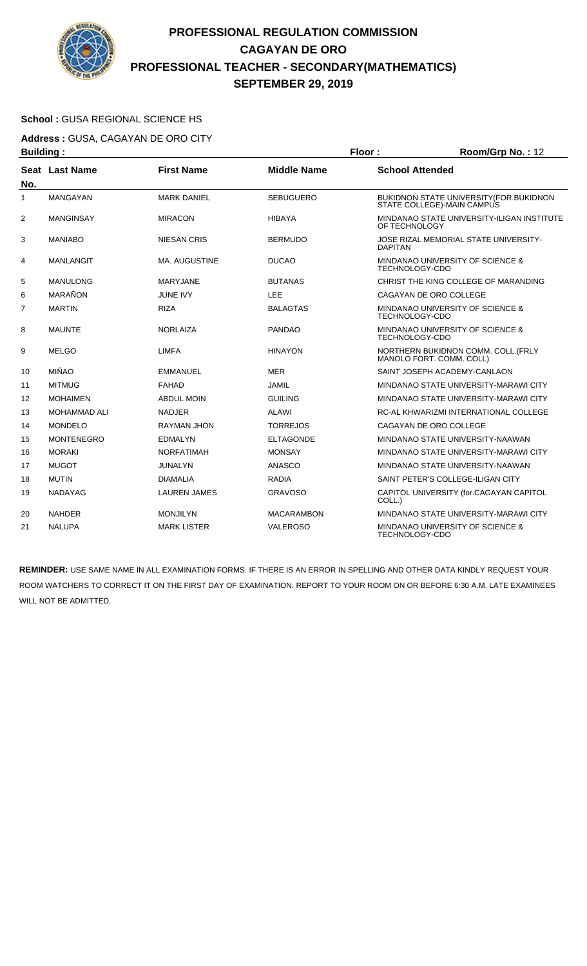

#### **School :** GUSA REGIONAL SCIENCE HS

**Address :** GUSA, CAGAYAN DE ORO CITY **Building : Floor : Floor : Room/Grp No. : 12** 

| . <u>.</u> .   |                     |                      |                    |                                                                        |
|----------------|---------------------|----------------------|--------------------|------------------------------------------------------------------------|
| No.            | Seat Last Name      | <b>First Name</b>    | <b>Middle Name</b> | <b>School Attended</b>                                                 |
| 1              | <b>MANGAYAN</b>     | <b>MARK DANIEL</b>   | <b>SEBUGUERO</b>   | BUKIDNON STATE UNIVERSITY (FOR. BUKIDNON<br>STATE COLLEGE)-MAIN CAMPUS |
| $\overline{2}$ | <b>MANGINSAY</b>    | <b>MIRACON</b>       | <b>HIBAYA</b>      | MINDANAO STATE UNIVERSITY-ILIGAN INSTITUTE<br>OF TECHNOLOGY            |
| 3              | <b>MANIABO</b>      | <b>NIESAN CRIS</b>   | <b>BERMUDO</b>     | JOSE RIZAL MEMORIAL STATE UNIVERSITY-<br><b>DAPITAN</b>                |
| 4              | <b>MANLANGIT</b>    | <b>MA. AUGUSTINE</b> | <b>DUCAO</b>       | MINDANAO UNIVERSITY OF SCIENCE &<br>TECHNOLOGY-CDO                     |
| 5              | <b>MANULONG</b>     | <b>MARYJANE</b>      | <b>BUTANAS</b>     | CHRIST THE KING COLLEGE OF MARANDING                                   |
| 6              | MARAÑON             | <b>JUNE IVY</b>      | LEE                | CAGAYAN DE ORO COLLEGE                                                 |
| 7              | <b>MARTIN</b>       | <b>RIZA</b>          | <b>BALAGTAS</b>    | MINDANAO UNIVERSITY OF SCIENCE &<br>TECHNOLOGY-CDO                     |
| 8              | <b>MAUNTE</b>       | <b>NORLAIZA</b>      | <b>PANDAO</b>      | MINDANAO UNIVERSITY OF SCIENCE &<br>TECHNOLOGY-CDO                     |
| 9              | <b>MELGO</b>        | <b>LIMFA</b>         | <b>HINAYON</b>     | NORTHERN BUKIDNON COMM. COLL. (FRLY<br>MANOLO FORT, COMM, COLL)        |
| 10             | <b>MIÑAO</b>        | <b>EMMANUEL</b>      | <b>MER</b>         | SAINT JOSEPH ACADEMY-CANLAON                                           |
| 11             | <b>MITMUG</b>       | FAHAD                | <b>JAMIL</b>       | MINDANAO STATE UNIVERSITY-MARAWI CITY                                  |
| 12             | <b>MOHAIMEN</b>     | <b>ABDUL MOIN</b>    | <b>GUILING</b>     | MINDANAO STATE UNIVERSITY-MARAWI CITY                                  |
| 13             | <b>MOHAMMAD ALI</b> | <b>NADJER</b>        | <b>ALAWI</b>       | RC-AL KHWARIZMI INTERNATIONAL COLLEGE                                  |
| 14             | <b>MONDELO</b>      | <b>RAYMAN JHON</b>   | <b>TORREJOS</b>    | CAGAYAN DE ORO COLLEGE                                                 |
| 15             | <b>MONTENEGRO</b>   | <b>EDMALYN</b>       | <b>ELTAGONDE</b>   | MINDANAO STATE UNIVERSITY-NAAWAN                                       |
| 16             | <b>MORAKI</b>       | <b>NORFATIMAH</b>    | <b>MONSAY</b>      | MINDANAO STATE UNIVERSITY-MARAWI CITY                                  |
| 17             | <b>MUGOT</b>        | <b>JUNALYN</b>       | <b>ANASCO</b>      | MINDANAO STATE UNIVERSITY-NAAWAN                                       |
| 18             | <b>MUTIN</b>        | <b>DIAMALIA</b>      | <b>RADIA</b>       | SAINT PETER'S COLLEGE-ILIGAN CITY                                      |
| 19             | <b>NADAYAG</b>      | <b>LAUREN JAMES</b>  | <b>GRAVOSO</b>     | CAPITOL UNIVERSITY (for.CAGAYAN CAPITOL<br>COLL.)                      |
| 20             | <b>NAHDER</b>       | <b>MONJILYN</b>      | <b>MACARAMBON</b>  | MINDANAO STATE UNIVERSITY-MARAWI CITY                                  |
| 21             | <b>NALUPA</b>       | <b>MARK LISTER</b>   | <b>VALEROSO</b>    | MINDANAO UNIVERSITY OF SCIENCE &<br>TECHNOLOGY-CDO                     |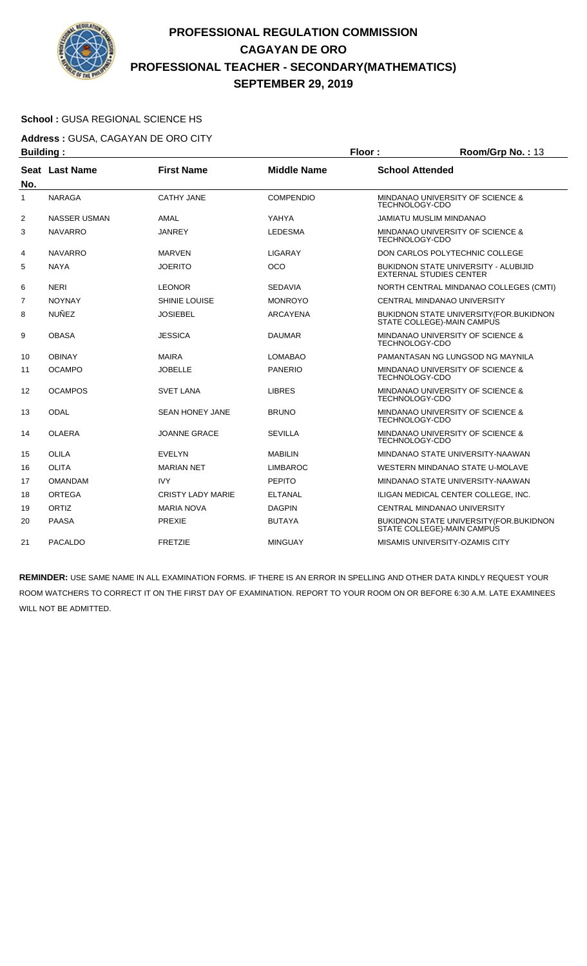

### **School :** GUSA REGIONAL SCIENCE HS

**Address :** GUSA, CAGAYAN DE ORO CITY **Building : Floor : Room/Grp No. : 13** 

| No. | Seat Last Name      | <b>First Name</b>        | <b>Middle Name</b> | <b>School Attended</b>                                                        |
|-----|---------------------|--------------------------|--------------------|-------------------------------------------------------------------------------|
| 1   | <b>NARAGA</b>       | <b>CATHY JANE</b>        | <b>COMPENDIO</b>   | MINDANAO UNIVERSITY OF SCIENCE &<br>TECHNOLOGY-CDO                            |
| 2   | <b>NASSER USMAN</b> | AMAL                     | YAHYA              | JAMIATU MUSLIM MINDANAO                                                       |
| 3   | <b>NAVARRO</b>      | <b>JANREY</b>            | <b>LEDESMA</b>     | MINDANAO UNIVERSITY OF SCIENCE &<br><b>TECHNOLOGY-CDO</b>                     |
| 4   | <b>NAVARRO</b>      | <b>MARVEN</b>            | <b>LIGARAY</b>     | DON CARLOS POLYTECHNIC COLLEGE                                                |
| 5   | <b>NAYA</b>         | <b>JOERITO</b>           | <b>OCO</b>         | <b>BUKIDNON STATE UNIVERSITY - ALUBIJID</b><br><b>EXTERNAL STUDIES CENTER</b> |
| 6   | <b>NERI</b>         | <b>LEONOR</b>            | <b>SEDAVIA</b>     | NORTH CENTRAL MINDANAO COLLEGES (CMTI)                                        |
| 7   | <b>NOYNAY</b>       | SHINIE LOUISE            | <b>MONROYO</b>     | CENTRAL MINDANAO UNIVERSITY                                                   |
| 8   | <b>NUÑEZ</b>        | <b>JOSIEBEL</b>          | <b>ARCAYENA</b>    | BUKIDNON STATE UNIVERSITY (FOR. BUKIDNON<br>STATE COLLEGE)-MAIN CAMPUS        |
| 9   | <b>OBASA</b>        | <b>JESSICA</b>           | <b>DAUMAR</b>      | MINDANAO UNIVERSITY OF SCIENCE &<br><b>TECHNOLOGY-CDO</b>                     |
| 10  | <b>OBINAY</b>       | <b>MAIRA</b>             | <b>LOMABAO</b>     | PAMANTASAN NG LUNGSOD NG MAYNILA                                              |
| 11  | <b>OCAMPO</b>       | <b>JOBELLE</b>           | <b>PANERIO</b>     | MINDANAO UNIVERSITY OF SCIENCE &<br>TECHNOLOGY-CDO                            |
| 12  | <b>OCAMPOS</b>      | <b>SVET LANA</b>         | <b>LIBRES</b>      | MINDANAO UNIVERSITY OF SCIENCE &<br>TECHNOLOGY-CDO                            |
| 13  | <b>ODAL</b>         | <b>SEAN HONEY JANE</b>   | <b>BRUNO</b>       | MINDANAO UNIVERSITY OF SCIENCE &<br>TECHNOLOGY-CDO                            |
| 14  | <b>OLAERA</b>       | JOANNE GRACE             | <b>SEVILLA</b>     | MINDANAO UNIVERSITY OF SCIENCE &<br>TECHNOLOGY-CDO                            |
| 15  | <b>OLILA</b>        | <b>EVELYN</b>            | <b>MABILIN</b>     | MINDANAO STATE UNIVERSITY-NAAWAN                                              |
| 16  | <b>OLITA</b>        | <b>MARIAN NET</b>        | <b>LIMBAROC</b>    | WESTERN MINDANAO STATE U-MOLAVE                                               |
| 17  | <b>OMANDAM</b>      | <b>IVY</b>               | <b>PEPITO</b>      | MINDANAO STATE UNIVERSITY-NAAWAN                                              |
| 18  | <b>ORTEGA</b>       | <b>CRISTY LADY MARIE</b> | <b>ELTANAL</b>     | ILIGAN MEDICAL CENTER COLLEGE, INC.                                           |
| 19  | ORTIZ               | <b>MARIA NOVA</b>        | <b>DAGPIN</b>      | CENTRAL MINDANAO UNIVERSITY                                                   |
| 20  | <b>PAASA</b>        | PREXIE                   | <b>BUTAYA</b>      | BUKIDNON STATE UNIVERSITY (FOR. BUKIDNON<br>STATE COLLEGE)-MAIN CAMPUS        |
| 21  | <b>PACALDO</b>      | <b>FRETZIE</b>           | <b>MINGUAY</b>     | MISAMIS UNIVERSITY-OZAMIS CITY                                                |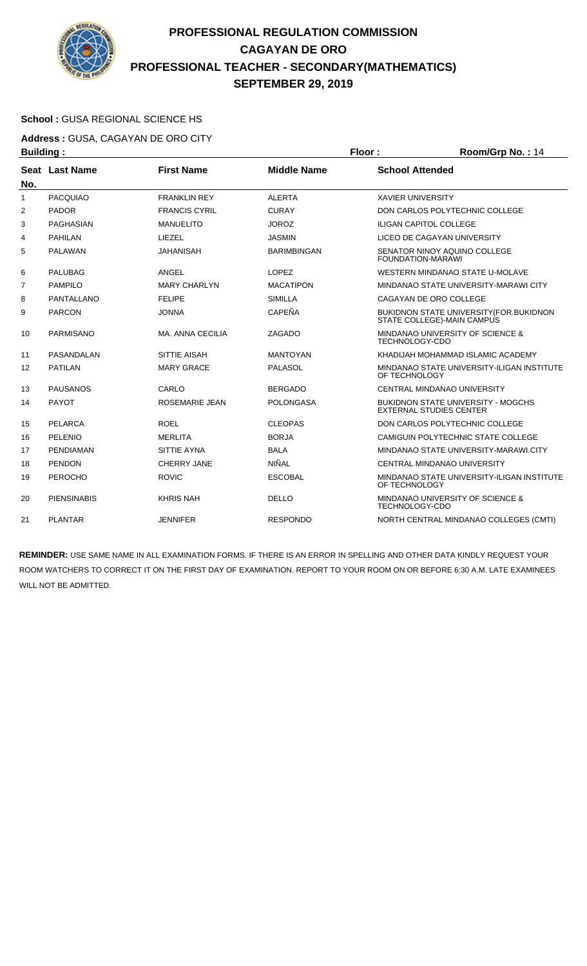

### **School :** GUSA REGIONAL SCIENCE HS

**Address :** GUSA, CAGAYAN DE ORO CITY

| <b>Building:</b> |                    |                       |                    | Floor:                   | Room/Grp No.: 14                                                               |
|------------------|--------------------|-----------------------|--------------------|--------------------------|--------------------------------------------------------------------------------|
|                  | Seat Last Name     | <b>First Name</b>     | <b>Middle Name</b> | <b>School Attended</b>   |                                                                                |
| No.              |                    |                       |                    |                          |                                                                                |
| 1                | <b>PACQUIAO</b>    | <b>FRANKLIN REY</b>   | <b>ALERTA</b>      | <b>XAVIER UNIVERSITY</b> |                                                                                |
| $\overline{2}$   | <b>PADOR</b>       | <b>FRANCIS CYRIL</b>  | <b>CURAY</b>       |                          | DON CARLOS POLYTECHNIC COLLEGE                                                 |
| 3                | <b>PAGHASIAN</b>   | <b>MANUELITO</b>      | <b>JOROZ</b>       |                          | <b>ILIGAN CAPITOL COLLEGE</b>                                                  |
| 4                | <b>PAHILAN</b>     | LIEZEL                | <b>JASMIN</b>      |                          | LICEO DE CAGAYAN UNIVERSITY                                                    |
| 5                | PALAWAN            | <b>JAHANISAH</b>      | <b>BARIMBINGAN</b> | <b>FOUNDATION-MARAWI</b> | SENATOR NINOY AQUINO COLLEGE                                                   |
| 6                | <b>PALUBAG</b>     | ANGEL                 | <b>LOPEZ</b>       |                          | WESTERN MINDANAO STATE U-MOLAVE                                                |
| $\overline{7}$   | <b>PAMPILO</b>     | <b>MARY CHARLYN</b>   | <b>MACATIPON</b>   |                          | MINDANAO STATE UNIVERSITY-MARAWI CITY                                          |
| 8                | PANTALLANO         | <b>FELIPE</b>         | <b>SIMILLA</b>     |                          | CAGAYAN DE ORO COLLEGE                                                         |
| 9                | <b>PARCON</b>      | <b>JONNA</b>          | <b>CAPEÑA</b>      |                          | <b>BUKIDNON STATE UNIVERSITY (FOR. BUKIDNON)</b><br>STATE COLLEGE)-MAIN CAMPUS |
| 10               | PARMISANO          | MA, ANNA CECILIA      | ZAGADO             | TECHNOLOGY-CDO           | MINDANAO UNIVERSITY OF SCIENCE &                                               |
| 11               | PASANDALAN         | <b>SITTIE AISAH</b>   | <b>MANTOYAN</b>    |                          | KHADIJAH MOHAMMAD ISLAMIC ACADEMY                                              |
| 12               | <b>PATILAN</b>     | <b>MARY GRACE</b>     | <b>PALASOL</b>     | OF TECHNOLOGY            | MINDANAO STATE UNIVERSITY-ILIGAN INSTITUTE                                     |
| 13               | <b>PAUSANOS</b>    | CARLO                 | <b>BERGADO</b>     |                          | CENTRAL MINDANAO UNIVERSITY                                                    |
| 14               | <b>PAYOT</b>       | <b>ROSEMARIE JEAN</b> | <b>POLONGASA</b>   |                          | <b>BUKIDNON STATE UNIVERSITY - MOGCHS</b><br><b>EXTERNAL STUDIES CENTER</b>    |
| 15               | PELARCA            | <b>ROEL</b>           | <b>CLEOPAS</b>     |                          | DON CARLOS POLYTECHNIC COLLEGE                                                 |
| 16               | PELENIO            | <b>MERLITA</b>        | <b>BORJA</b>       |                          | CAMIGUIN POLYTECHNIC STATE COLLEGE                                             |
| 17               | <b>PENDIAMAN</b>   | <b>SITTIE AYNA</b>    | <b>BALA</b>        |                          | MINDANAO STATE UNIVERSITY-MARAWI CITY                                          |
| 18               | <b>PENDON</b>      | CHERRY JANE           | NIÑAL              |                          | CENTRAL MINDANAO UNIVERSITY                                                    |
| 19               | PEROCHO            | <b>ROVIC</b>          | <b>ESCOBAL</b>     | OF TECHNOLOGY            | MINDANAO STATE UNIVERSITY-ILIGAN INSTITUTE                                     |
| 20               | <b>PIENSINABIS</b> | <b>KHRIS NAH</b>      | <b>DELLO</b>       | <b>TECHNOLOGY-CDO</b>    | MINDANAO UNIVERSITY OF SCIENCE &                                               |
| 21               | <b>PLANTAR</b>     | <b>JENNIFER</b>       | <b>RESPONDO</b>    |                          | NORTH CENTRAL MINDANAO COLLEGES (CMTI)                                         |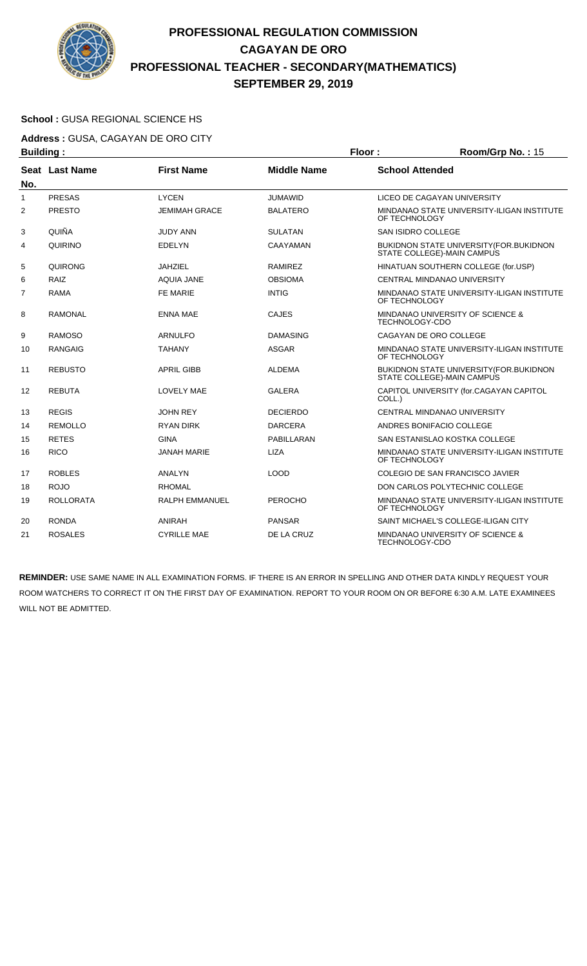

### **School :** GUSA REGIONAL SCIENCE HS

**Address :** GUSA, CAGAYAN DE ORO CITY **Building : Floor : Room/Grp No. : 15** 

| sananig i      |                  |                       |                    |                                                                              |
|----------------|------------------|-----------------------|--------------------|------------------------------------------------------------------------------|
| No.            | Seat Last Name   | <b>First Name</b>     | <b>Middle Name</b> | <b>School Attended</b>                                                       |
| $\mathbf{1}$   | <b>PRESAS</b>    | <b>LYCEN</b>          | <b>JUMAWID</b>     | LICEO DE CAGAYAN UNIVERSITY                                                  |
| $\overline{2}$ | <b>PRESTO</b>    | <b>JEMIMAH GRACE</b>  | <b>BALATERO</b>    | MINDANAO STATE UNIVERSITY-ILIGAN INSTITUTE<br>OF TECHNOLOGY                  |
| 3              | QUIÑA            | <b>JUDY ANN</b>       | <b>SULATAN</b>     | SAN ISIDRO COLLEGE                                                           |
| 4              | QUIRINO          | <b>EDELYN</b>         | CAAYAMAN           | <b>BUKIDNON STATE UNIVERSITY (FOR.BUKIDNON</b><br>STATE COLLEGE)-MAIN CAMPUS |
| 5              | <b>QUIRONG</b>   | <b>JAHZIEL</b>        | <b>RAMIREZ</b>     | HINATUAN SOUTHERN COLLEGE (for.USP)                                          |
| 6              | RAIZ             | <b>AQUIA JANE</b>     | <b>OBSIOMA</b>     | CENTRAL MINDANAO UNIVERSITY                                                  |
| 7              | <b>RAMA</b>      | <b>FE MARIE</b>       | <b>INTIG</b>       | MINDANAO STATE UNIVERSITY-ILIGAN INSTITUTE<br>OF TECHNOLOGY                  |
| 8              | <b>RAMONAL</b>   | <b>ENNA MAE</b>       | <b>CAJES</b>       | MINDANAO UNIVERSITY OF SCIENCE &<br><b>TECHNOLOGY-CDO</b>                    |
| 9              | <b>RAMOSO</b>    | <b>ARNULFO</b>        | <b>DAMASING</b>    | CAGAYAN DE ORO COLLEGE                                                       |
| 10             | <b>RANGAIG</b>   | <b>TAHANY</b>         | ASGAR              | MINDANAO STATE UNIVERSITY-ILIGAN INSTITUTE<br>OF TECHNOLOGY                  |
| 11             | <b>REBUSTO</b>   | <b>APRIL GIBB</b>     | <b>ALDEMA</b>      | BUKIDNON STATE UNIVERSITY (FOR.BUKIDNON<br>STATE COLLEGE)-MAIN CAMPUS        |
| 12             | <b>REBUTA</b>    | <b>LOVELY MAE</b>     | <b>GALERA</b>      | CAPITOL UNIVERSITY (for.CAGAYAN CAPITOL<br>COLL.)                            |
| 13             | <b>REGIS</b>     | <b>JOHN REY</b>       | <b>DECIERDO</b>    | <b>CENTRAL MINDANAO UNIVERSITY</b>                                           |
| 14             | <b>REMOLLO</b>   | <b>RYAN DIRK</b>      | <b>DARCERA</b>     | ANDRES BONIFACIO COLLEGE                                                     |
| 15             | <b>RETES</b>     | <b>GINA</b>           | PABILLARAN         | SAN ESTANISLAO KOSTKA COLLEGE                                                |
| 16             | <b>RICO</b>      | <b>JANAH MARIE</b>    | <b>LIZA</b>        | MINDANAO STATE UNIVERSITY-ILIGAN INSTITUTE<br>OF TECHNOLOGY                  |
| 17             | <b>ROBLES</b>    | <b>ANALYN</b>         | <b>LOOD</b>        | COLEGIO DE SAN FRANCISCO JAVIER                                              |
| 18             | <b>ROJO</b>      | <b>RHOMAL</b>         |                    | DON CARLOS POLYTECHNIC COLLEGE                                               |
| 19             | <b>ROLLORATA</b> | <b>RALPH EMMANUEL</b> | <b>PEROCHO</b>     | MINDANAO STATE UNIVERSITY-ILIGAN INSTITUTE<br>OF TECHNOLOGY                  |
| 20             | <b>RONDA</b>     | <b>ANIRAH</b>         | <b>PANSAR</b>      | SAINT MICHAEL'S COLLEGE-ILIGAN CITY                                          |
| 21             | <b>ROSALES</b>   | <b>CYRILLE MAE</b>    | DE LA CRUZ         | MINDANAO UNIVERSITY OF SCIENCE &<br>TECHNOLOGY-CDO                           |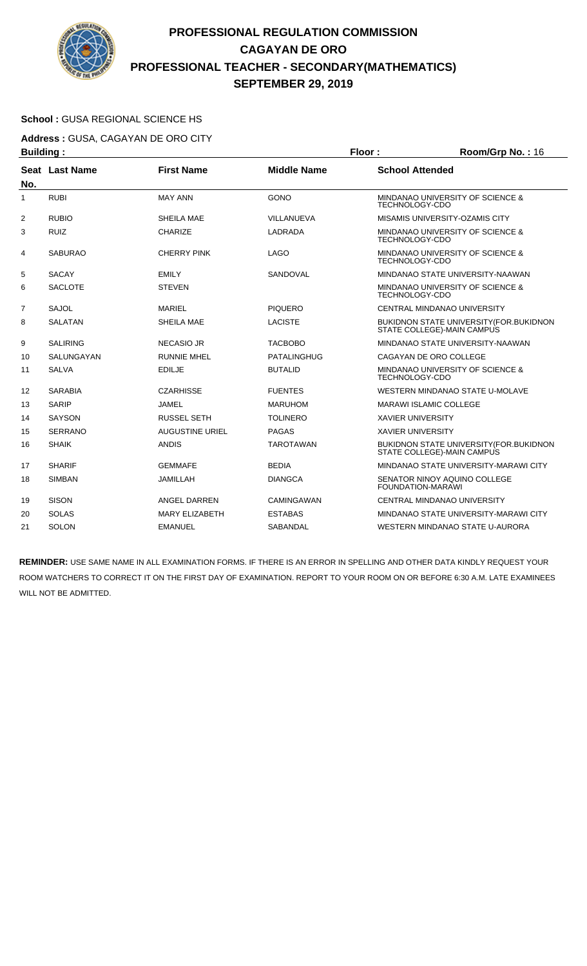

### **School :** GUSA REGIONAL SCIENCE HS

**Address :** GUSA, CAGAYAN DE ORO CITY **Building : Floor : Room/Grp No. : 16** 

| .              |                 |                        |                    |                                                                                |
|----------------|-----------------|------------------------|--------------------|--------------------------------------------------------------------------------|
| No.            | Seat Last Name  | <b>First Name</b>      | <b>Middle Name</b> | <b>School Attended</b>                                                         |
| 1              | <b>RUBI</b>     | <b>MAY ANN</b>         | <b>GONO</b>        | MINDANAO UNIVERSITY OF SCIENCE &<br><b>TECHNOLOGY-CDO</b>                      |
| 2              | <b>RUBIO</b>    | SHEILA MAE             | VILLANUEVA         | MISAMIS UNIVERSITY-OZAMIS CITY                                                 |
| 3              | <b>RUIZ</b>     | <b>CHARIZE</b>         | LADRADA            | MINDANAO UNIVERSITY OF SCIENCE &<br><b>TECHNOLOGY-CDO</b>                      |
| 4              | <b>SABURAO</b>  | <b>CHERRY PINK</b>     | <b>LAGO</b>        | MINDANAO UNIVERSITY OF SCIENCE &<br><b>TECHNOLOGY-CDO</b>                      |
| 5              | <b>SACAY</b>    | <b>EMILY</b>           | SANDOVAL           | MINDANAO STATE UNIVERSITY-NAAWAN                                               |
| 6              | <b>SACLOTE</b>  | <b>STEVEN</b>          |                    | MINDANAO UNIVERSITY OF SCIENCE &<br><b>TECHNOLOGY-CDO</b>                      |
| $\overline{7}$ | <b>SAJOL</b>    | <b>MARIEL</b>          | <b>PIQUERO</b>     | CENTRAL MINDANAO UNIVERSITY                                                    |
| 8              | <b>SALATAN</b>  | SHEILA MAE             | <b>LACISTE</b>     | BUKIDNON STATE UNIVERSITY (FOR. BUKIDNON<br>STATE COLLEGE)-MAIN CAMPUS         |
| 9              | <b>SALIRING</b> | <b>NECASIO JR</b>      | <b>TACBOBO</b>     | MINDANAO STATE UNIVERSITY-NAAWAN                                               |
| 10             | SALUNGAYAN      | <b>RUNNIE MHEL</b>     | <b>PATALINGHUG</b> | CAGAYAN DE ORO COLLEGE                                                         |
| 11             | <b>SALVA</b>    | <b>EDILJE</b>          | <b>BUTALID</b>     | MINDANAO UNIVERSITY OF SCIENCE &<br><b>TECHNOLOGY-CDO</b>                      |
| 12             | <b>SARABIA</b>  | <b>CZARHISSE</b>       | <b>FUENTES</b>     | <b>WESTERN MINDANAO STATE U-MOLAVE</b>                                         |
| 13             | <b>SARIP</b>    | <b>JAMEL</b>           | <b>MARUHOM</b>     | <b>MARAWI ISLAMIC COLLEGE</b>                                                  |
| 14             | <b>SAYSON</b>   | <b>RUSSEL SETH</b>     | <b>TOLINERO</b>    | <b>XAVIER UNIVERSITY</b>                                                       |
| 15             | <b>SERRANO</b>  | <b>AUGUSTINE URIEL</b> | <b>PAGAS</b>       | <b>XAVIER UNIVERSITY</b>                                                       |
| 16             | <b>SHAIK</b>    | <b>ANDIS</b>           | <b>TAROTAWAN</b>   | <b>BUKIDNON STATE UNIVERSITY (FOR. BUKIDNON)</b><br>STATE COLLEGE)-MAIN CAMPUS |
| 17             | <b>SHARIF</b>   | <b>GEMMAFE</b>         | <b>BEDIA</b>       | MINDANAO STATE UNIVERSITY-MARAWI CITY                                          |
| 18             | <b>SIMBAN</b>   | <b>JAMILLAH</b>        | <b>DIANGCA</b>     | SENATOR NINOY AQUINO COLLEGE<br>FOUNDATION-MARAWI                              |
| 19             | <b>SISON</b>    | <b>ANGEL DARREN</b>    | <b>CAMINGAWAN</b>  | CENTRAL MINDANAO UNIVERSITY                                                    |
| 20             | <b>SOLAS</b>    | <b>MARY ELIZABETH</b>  | <b>ESTABAS</b>     | MINDANAO STATE UNIVERSITY-MARAWI CITY                                          |
| 21             | <b>SOLON</b>    | <b>EMANUEL</b>         | <b>SABANDAL</b>    | WESTERN MINDANAO STATE U-AURORA                                                |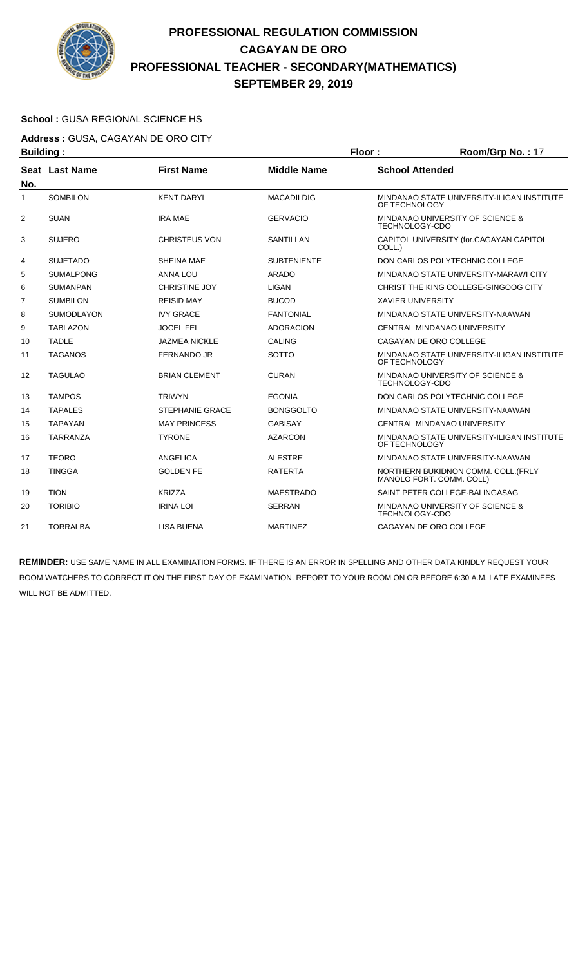

### **School :** GUSA REGIONAL SCIENCE HS

**Address :** GUSA, CAGAYAN DE ORO CITY **Building : Floor : Floor : Room/Grp No. : 17** 

| sananig i      |                   |                        |                    |                                                                 |
|----------------|-------------------|------------------------|--------------------|-----------------------------------------------------------------|
| No.            | Seat Last Name    | <b>First Name</b>      | <b>Middle Name</b> | <b>School Attended</b>                                          |
| 1              | <b>SOMBILON</b>   | <b>KENT DARYL</b>      | <b>MACADILDIG</b>  | MINDANAO STATE UNIVERSITY-ILIGAN INSTITUTE<br>OF TECHNOLOGY     |
| $\overline{2}$ | <b>SUAN</b>       | <b>IRA MAE</b>         | <b>GERVACIO</b>    | MINDANAO UNIVERSITY OF SCIENCE &<br><b>TECHNOLOGY-CDO</b>       |
| 3              | <b>SUJERO</b>     | <b>CHRISTEUS VON</b>   | <b>SANTILLAN</b>   | CAPITOL UNIVERSITY (for.CAGAYAN CAPITOL<br>COLL.)               |
| 4              | <b>SUJETADO</b>   | SHEINA MAE             | <b>SUBTENIENTE</b> | DON CARLOS POLYTECHNIC COLLEGE                                  |
| 5              | <b>SUMALPONG</b>  | <b>ANNA LOU</b>        | ARADO              | MINDANAO STATE UNIVERSITY-MARAWI CITY                           |
| 6              | <b>SUMANPAN</b>   | <b>CHRISTINE JOY</b>   | <b>LIGAN</b>       | CHRIST THE KING COLLEGE-GINGOOG CITY                            |
| 7              | <b>SUMBILON</b>   | <b>REISID MAY</b>      | <b>BUCOD</b>       | <b>XAVIER UNIVERSITY</b>                                        |
| 8              | <b>SUMODLAYON</b> | <b>IVY GRACE</b>       | <b>FANTONIAL</b>   | MINDANAO STATE UNIVERSITY-NAAWAN                                |
| 9              | <b>TABLAZON</b>   | <b>JOCEL FEL</b>       | <b>ADORACION</b>   | CENTRAL MINDANAO UNIVERSITY                                     |
| 10             | <b>TADLE</b>      | <b>JAZMEA NICKLE</b>   | <b>CALING</b>      | CAGAYAN DE ORO COLLEGE                                          |
| 11             | <b>TAGANOS</b>    | <b>FERNANDO JR</b>     | SOTTO              | MINDANAO STATE UNIVERSITY-ILIGAN INSTITUTE<br>OF TECHNOLOGY     |
| 12             | <b>TAGULAO</b>    | <b>BRIAN CLEMENT</b>   | <b>CURAN</b>       | MINDANAO UNIVERSITY OF SCIENCE &<br>TECHNOLOGY-CDO              |
| 13             | <b>TAMPOS</b>     | <b>TRIWYN</b>          | <b>EGONIA</b>      | DON CARLOS POLYTECHNIC COLLEGE                                  |
| 14             | <b>TAPALES</b>    | <b>STEPHANIE GRACE</b> | <b>BONGGOLTO</b>   | MINDANAO STATE UNIVERSITY-NAAWAN                                |
| 15             | <b>TAPAYAN</b>    | <b>MAY PRINCESS</b>    | <b>GABISAY</b>     | <b>CENTRAL MINDANAO UNIVERSITY</b>                              |
| 16             | <b>TARRANZA</b>   | <b>TYRONE</b>          | <b>AZARCON</b>     | MINDANAO STATE UNIVERSITY-ILIGAN INSTITUTE<br>OF TECHNOLOGY     |
| 17             | <b>TEORO</b>      | ANGELICA               | <b>ALESTRE</b>     | MINDANAO STATE UNIVERSITY-NAAWAN                                |
| 18             | <b>TINGGA</b>     | <b>GOLDEN FE</b>       | <b>RATERTA</b>     | NORTHERN BUKIDNON COMM. COLL. (FRLY<br>MANOLO FORT. COMM. COLL) |
| 19             | <b>TION</b>       | <b>KRIZZA</b>          | <b>MAESTRADO</b>   | SAINT PETER COLLEGE-BALINGASAG                                  |
| 20             | <b>TORIBIO</b>    | <b>IRINA LOI</b>       | <b>SERRAN</b>      | MINDANAO UNIVERSITY OF SCIENCE &<br><b>TECHNOLOGY-CDO</b>       |
| 21             | <b>TORRALBA</b>   | LISA BUENA             | <b>MARTINEZ</b>    | CAGAYAN DE ORO COLLEGE                                          |